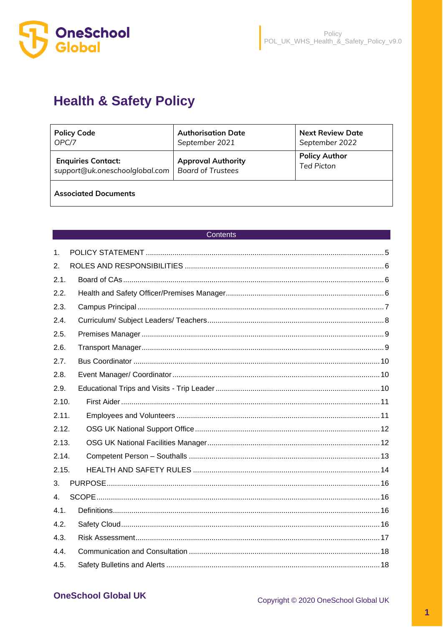

# **Health & Safety Policy**

| <b>Policy Code</b>             | <b>Authorisation Date</b> | <b>Next Review Date</b> |
|--------------------------------|---------------------------|-------------------------|
| OPC/7                          | September 2021            | September 2022          |
| <b>Enquiries Contact:</b>      | <b>Approval Authority</b> | <b>Policy Author</b>    |
| support@uk.oneschoolglobal.com | <b>Board of Trustees</b>  | <b>Ted Picton</b>       |

**Associated Documents** 

#### Contents

| $\mathbf 1$ . |  |
|---------------|--|
| 2.            |  |
| 2.1.          |  |
| 2.2.          |  |
| 2.3.          |  |
| 2.4.          |  |
| 2.5.          |  |
| 2.6.          |  |
| 2.7.          |  |
| 2.8.          |  |
| 2.9.          |  |
| 2.10.         |  |
| 2.11.         |  |
| 2.12.         |  |
| 2.13.         |  |
| 2.14.         |  |
| 2.15.         |  |
| 3.            |  |
| 4.            |  |
| 4.1.          |  |
| 4.2.          |  |
| 4.3.          |  |
| 4.4.          |  |
| 4.5.          |  |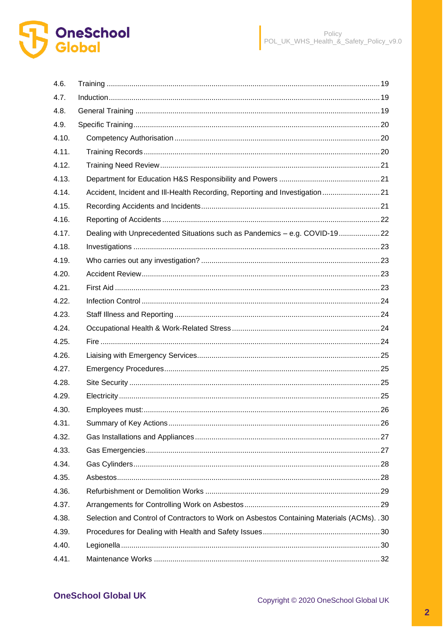# **CONNOCO DE SONO DE SONO DE SONO DE SONO DE SONO DE SONO DE SONO DE SONO DE SONO DE SONO DE SONO DE SONO DE SONO DE S**<br>Se de Sono De Sono De Sono De Sono De Sono De Sono De Sono De Sono De Sono De Sono De Sono De Sono De S

| 4.6.  |                                                                                           |  |
|-------|-------------------------------------------------------------------------------------------|--|
| 4.7.  |                                                                                           |  |
| 4.8.  |                                                                                           |  |
| 4.9.  |                                                                                           |  |
| 4.10. |                                                                                           |  |
| 4.11. |                                                                                           |  |
| 4.12. |                                                                                           |  |
| 4.13. |                                                                                           |  |
| 4.14. | Accident, Incident and III-Health Recording, Reporting and Investigation 21               |  |
| 4.15. |                                                                                           |  |
| 4.16. |                                                                                           |  |
| 4.17. | Dealing with Unprecedented Situations such as Pandemics - e.g. COVID-1922                 |  |
| 4.18. |                                                                                           |  |
| 4.19. |                                                                                           |  |
| 4.20. |                                                                                           |  |
| 4.21. |                                                                                           |  |
| 4.22. |                                                                                           |  |
| 4.23. |                                                                                           |  |
| 4.24. |                                                                                           |  |
| 4.25. |                                                                                           |  |
| 4.26. |                                                                                           |  |
| 4.27. |                                                                                           |  |
| 4.28. |                                                                                           |  |
| 4.29. |                                                                                           |  |
| 4.30. |                                                                                           |  |
| 4.31. |                                                                                           |  |
| 4.32. |                                                                                           |  |
| 4.33. |                                                                                           |  |
| 4.34. |                                                                                           |  |
| 4.35. |                                                                                           |  |
| 4.36. |                                                                                           |  |
| 4.37. |                                                                                           |  |
| 4.38. | Selection and Control of Contractors to Work on Asbestos Containing Materials (ACMs). .30 |  |
| 4.39. |                                                                                           |  |
| 4.40. |                                                                                           |  |
| 4.41. |                                                                                           |  |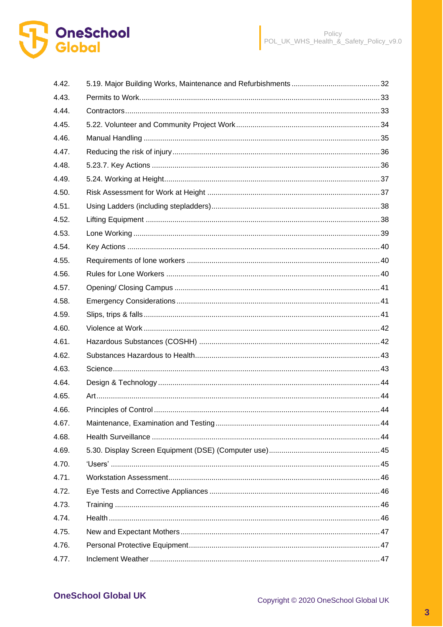# **CONNOCO DE SONO DE SONO DE SONO DE SONO DE SONO DE SONO DE SONO DE SONO DE SONO DE SONO DE SONO DE SONO DE SONO DE S**<br>Se de Sono De Sono De Sono De Sono De Sono De Sono De Sono De Sono De Sono De Sono De Sono De Sono De S

| 4.42. |  |
|-------|--|
| 4.43. |  |
| 4.44. |  |
| 4.45. |  |
| 4.46. |  |
| 4.47. |  |
| 4.48. |  |
| 4.49. |  |
| 4.50. |  |
| 4.51. |  |
| 4.52. |  |
| 4.53. |  |
| 4.54. |  |
| 4.55. |  |
| 4.56. |  |
| 4.57. |  |
| 4.58. |  |
| 4.59. |  |
| 4.60. |  |
| 4.61. |  |
| 4.62. |  |
| 4.63. |  |
| 4.64. |  |
| 4.65. |  |
| 4.66. |  |
| 4.67. |  |
| 4.68. |  |
| 4.69. |  |
| 4.70. |  |
| 4.71. |  |
| 4.72. |  |
| 4.73. |  |
| 4.74. |  |
| 4.75. |  |
| 4.76. |  |
| 4.77. |  |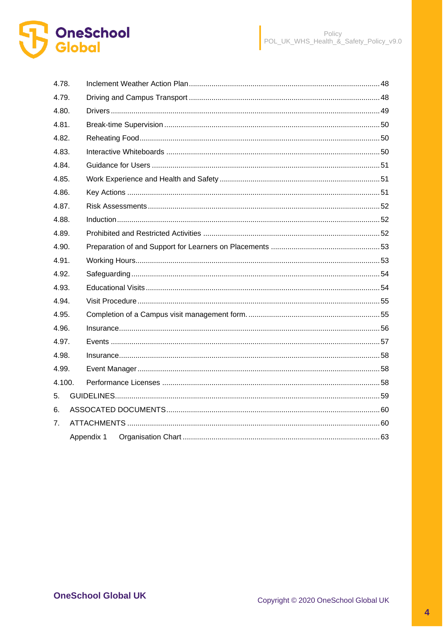

| 4.78. |        |  |  |  |
|-------|--------|--|--|--|
| 4.79. |        |  |  |  |
| 4.80. |        |  |  |  |
| 4.81. |        |  |  |  |
| 4.82. |        |  |  |  |
| 4.83. |        |  |  |  |
| 4.84. |        |  |  |  |
| 4.85. |        |  |  |  |
| 4.86. |        |  |  |  |
| 4.87. |        |  |  |  |
| 4.88. |        |  |  |  |
|       | 4.89.  |  |  |  |
| 4.90. |        |  |  |  |
| 4.91. |        |  |  |  |
| 4.92. |        |  |  |  |
| 4.93. |        |  |  |  |
| 4.94. |        |  |  |  |
| 4.95. |        |  |  |  |
| 4.96. |        |  |  |  |
| 4.97. |        |  |  |  |
| 4.98. |        |  |  |  |
| 4.99. |        |  |  |  |
|       | 4.100. |  |  |  |
| 5.    |        |  |  |  |
| 6.    |        |  |  |  |
| 7.    |        |  |  |  |
|       |        |  |  |  |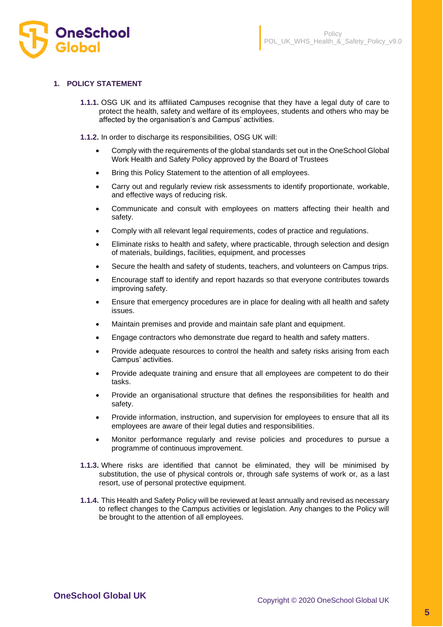

#### <span id="page-4-0"></span>**1. POLICY STATEMENT**

**1.1.1.** OSG UK and its affiliated Campuses recognise that they have a legal duty of care to protect the health, safety and welfare of its employees, students and others who may be affected by the organisation's and Campus' activities.

**1.1.2.** In order to discharge its responsibilities, OSG UK will:

- Comply with the requirements of the global standards set out in the OneSchool Global Work Health and Safety Policy approved by the Board of Trustees
- Bring this Policy Statement to the attention of all employees.
- Carry out and regularly review risk assessments to identify proportionate, workable, and effective ways of reducing risk.
- Communicate and consult with employees on matters affecting their health and safety.
- Comply with all relevant legal requirements, codes of practice and regulations.
- Eliminate risks to health and safety, where practicable, through selection and design of materials, buildings, facilities, equipment, and processes
- Secure the health and safety of students, teachers, and volunteers on Campus trips.
- Encourage staff to identify and report hazards so that everyone contributes towards improving safety.
- Ensure that emergency procedures are in place for dealing with all health and safety issues.
- Maintain premises and provide and maintain safe plant and equipment.
- Engage contractors who demonstrate due regard to health and safety matters.
- Provide adequate resources to control the health and safety risks arising from each Campus' activities.
- Provide adequate training and ensure that all employees are competent to do their tasks.
- Provide an organisational structure that defines the responsibilities for health and safety.
- Provide information, instruction, and supervision for employees to ensure that all its employees are aware of their legal duties and responsibilities.
- Monitor performance regularly and revise policies and procedures to pursue a programme of continuous improvement.
- **1.1.3.** Where risks are identified that cannot be eliminated, they will be minimised by substitution, the use of physical controls or, through safe systems of work or, as a last resort, use of personal protective equipment.
- **1.1.4.** This Health and Safety Policy will be reviewed at least annually and revised as necessary to reflect changes to the Campus activities or legislation. Any changes to the Policy will be brought to the attention of all employees.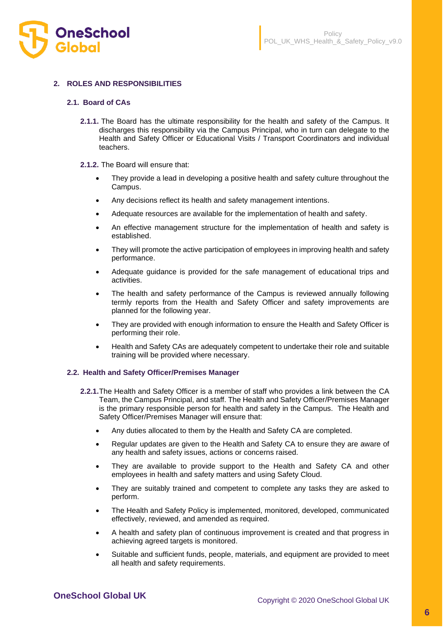

### <span id="page-5-1"></span><span id="page-5-0"></span>**2. ROLES AND RESPONSIBILITIES**

#### **2.1. Board of CAs**

**2.1.1.** The Board has the ultimate responsibility for the health and safety of the Campus. It discharges this responsibility via the Campus Principal, who in turn can delegate to the Health and Safety Officer or Educational Visits / Transport Coordinators and individual teachers.

#### **2.1.2.** The Board will ensure that:

- They provide a lead in developing a positive health and safety culture throughout the Campus.
- Any decisions reflect its health and safety management intentions.
- Adequate resources are available for the implementation of health and safety.
- An effective management structure for the implementation of health and safety is established.
- They will promote the active participation of employees in improving health and safety performance.
- Adequate guidance is provided for the safe management of educational trips and activities.
- The health and safety performance of the Campus is reviewed annually following termly reports from the Health and Safety Officer and safety improvements are planned for the following year.
- They are provided with enough information to ensure the Health and Safety Officer is performing their role.
- Health and Safety CAs are adequately competent to undertake their role and suitable training will be provided where necessary.

#### <span id="page-5-2"></span>**2.2. Health and Safety Officer/Premises Manager**

- **2.2.1.**The Health and Safety Officer is a member of staff who provides a link between the CA Team, the Campus Principal, and staff. The Health and Safety Officer/Premises Manager is the primary responsible person for health and safety in the Campus. The Health and Safety Officer/Premises Manager will ensure that:
	- Any duties allocated to them by the Health and Safety CA are completed.
	- Regular updates are given to the Health and Safety CA to ensure they are aware of any health and safety issues, actions or concerns raised.
	- They are available to provide support to the Health and Safety CA and other employees in health and safety matters and using Safety Cloud.
	- They are suitably trained and competent to complete any tasks they are asked to perform.
	- The Health and Safety Policy is implemented, monitored, developed, communicated effectively, reviewed, and amended as required.
	- A health and safety plan of continuous improvement is created and that progress in achieving agreed targets is monitored.
	- Suitable and sufficient funds, people, materials, and equipment are provided to meet all health and safety requirements.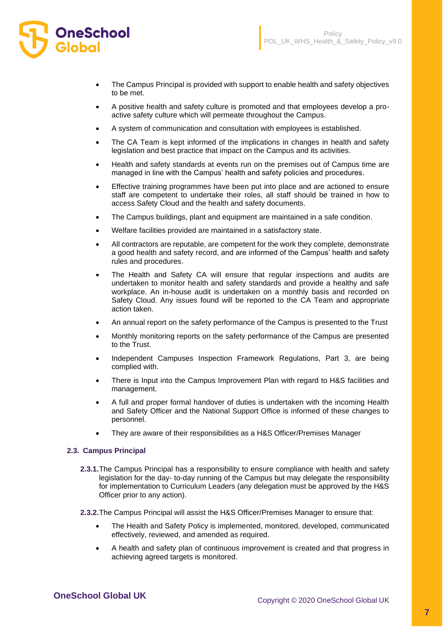

- The Campus Principal is provided with support to enable health and safety objectives to be met.
- A positive health and safety culture is promoted and that employees develop a proactive safety culture which will permeate throughout the Campus.
- A system of communication and consultation with employees is established.
- The CA Team is kept informed of the implications in changes in health and safety legislation and best practice that impact on the Campus and its activities.
- Health and safety standards at events run on the premises out of Campus time are managed in line with the Campus' health and safety policies and procedures.
- Effective training programmes have been put into place and are actioned to ensure staff are competent to undertake their roles, all staff should be trained in how to access Safety Cloud and the health and safety documents.
- The Campus buildings, plant and equipment are maintained in a safe condition.
- Welfare facilities provided are maintained in a satisfactory state.
- All contractors are reputable, are competent for the work they complete, demonstrate a good health and safety record, and are informed of the Campus' health and safety rules and procedures.
- The Health and Safety CA will ensure that regular inspections and audits are undertaken to monitor health and safety standards and provide a healthy and safe workplace. An in-house audit is undertaken on a monthly basis and recorded on Safety Cloud. Any issues found will be reported to the CA Team and appropriate action taken.
- An annual report on the safety performance of the Campus is presented to the Trust
- Monthly monitoring reports on the safety performance of the Campus are presented to the Trust.
- Independent Campuses Inspection Framework Regulations, Part 3, are being complied with.
- There is Input into the Campus Improvement Plan with regard to H&S facilities and management.
- A full and proper formal handover of duties is undertaken with the incoming Health and Safety Officer and the National Support Office is informed of these changes to personnel.
- They are aware of their responsibilities as a H&S Officer/Premises Manager

#### <span id="page-6-0"></span>**2.3. Campus Principal**

- **2.3.1.**The Campus Principal has a responsibility to ensure compliance with health and safety legislation for the day- to-day running of the Campus but may delegate the responsibility for implementation to Curriculum Leaders (any delegation must be approved by the H&S Officer prior to any action).
- **2.3.2.**The Campus Principal will assist the H&S Officer/Premises Manager to ensure that:
	- The Health and Safety Policy is implemented, monitored, developed, communicated effectively, reviewed, and amended as required.
	- A health and safety plan of continuous improvement is created and that progress in achieving agreed targets is monitored.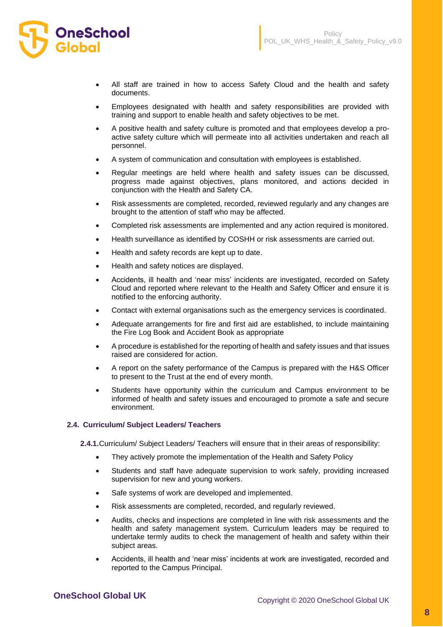

- All staff are trained in how to access Safety Cloud and the health and safety documents.
- Employees designated with health and safety responsibilities are provided with training and support to enable health and safety objectives to be met.
- A positive health and safety culture is promoted and that employees develop a proactive safety culture which will permeate into all activities undertaken and reach all personnel.
- A system of communication and consultation with employees is established.
- Regular meetings are held where health and safety issues can be discussed, progress made against objectives, plans monitored, and actions decided in conjunction with the Health and Safety CA.
- Risk assessments are completed, recorded, reviewed regularly and any changes are brought to the attention of staff who may be affected.
- Completed risk assessments are implemented and any action required is monitored.
- Health surveillance as identified by COSHH or risk assessments are carried out.
- Health and safety records are kept up to date.
- Health and safety notices are displayed.
- Accidents, ill health and 'near miss' incidents are investigated, recorded on Safety Cloud and reported where relevant to the Health and Safety Officer and ensure it is notified to the enforcing authority.
- Contact with external organisations such as the emergency services is coordinated.
- Adequate arrangements for fire and first aid are established, to include maintaining the Fire Log Book and Accident Book as appropriate
- A procedure is established for the reporting of health and safety issues and that issues raised are considered for action.
- A report on the safety performance of the Campus is prepared with the H&S Officer to present to the Trust at the end of every month.
- Students have opportunity within the curriculum and Campus environment to be informed of health and safety issues and encouraged to promote a safe and secure environment.

#### <span id="page-7-0"></span>**2.4. Curriculum/ Subject Leaders/ Teachers**

**2.4.1.**Curriculum/ Subject Leaders/ Teachers will ensure that in their areas of responsibility:

- They actively promote the implementation of the Health and Safety Policy
- Students and staff have adequate supervision to work safely, providing increased supervision for new and young workers.
- Safe systems of work are developed and implemented.
- Risk assessments are completed, recorded, and regularly reviewed.
- Audits, checks and inspections are completed in line with risk assessments and the health and safety management system. Curriculum leaders may be required to undertake termly audits to check the management of health and safety within their subject areas.
- Accidents, ill health and 'near miss' incidents at work are investigated, recorded and reported to the Campus Principal.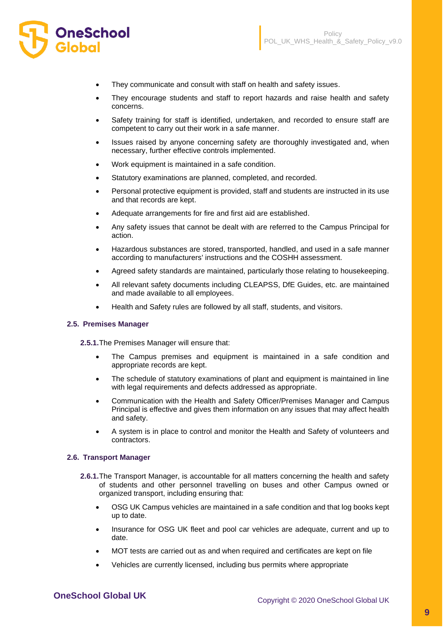- They communicate and consult with staff on health and safety issues.
- They encourage students and staff to report hazards and raise health and safety concerns.
- Safety training for staff is identified, undertaken, and recorded to ensure staff are competent to carry out their work in a safe manner.
- Issues raised by anyone concerning safety are thoroughly investigated and, when necessary, further effective controls implemented.
- Work equipment is maintained in a safe condition.
- Statutory examinations are planned, completed, and recorded.
- Personal protective equipment is provided, staff and students are instructed in its use and that records are kept.
- Adequate arrangements for fire and first aid are established.
- Any safety issues that cannot be dealt with are referred to the Campus Principal for action.
- Hazardous substances are stored, transported, handled, and used in a safe manner according to manufacturers' instructions and the COSHH assessment.
- Agreed safety standards are maintained, particularly those relating to housekeeping.
- All relevant safety documents including CLEAPSS, DfE Guides, etc. are maintained and made available to all employees.
- Health and Safety rules are followed by all staff, students, and visitors.

#### <span id="page-8-0"></span>**2.5. Premises Manager**

OneSchool

**2.5.1.**The Premises Manager will ensure that:

- The Campus premises and equipment is maintained in a safe condition and appropriate records are kept.
- The schedule of statutory examinations of plant and equipment is maintained in line with legal requirements and defects addressed as appropriate.
- Communication with the Health and Safety Officer/Premises Manager and Campus Principal is effective and gives them information on any issues that may affect health and safety.
- A system is in place to control and monitor the Health and Safety of volunteers and contractors.

#### <span id="page-8-1"></span>**2.6. Transport Manager**

- **2.6.1.**The Transport Manager, is accountable for all matters concerning the health and safety of students and other personnel travelling on buses and other Campus owned or organized transport, including ensuring that:
	- OSG UK Campus vehicles are maintained in a safe condition and that log books kept up to date.
	- Insurance for OSG UK fleet and pool car vehicles are adequate, current and up to date.
	- MOT tests are carried out as and when required and certificates are kept on file
	- Vehicles are currently licensed, including bus permits where appropriate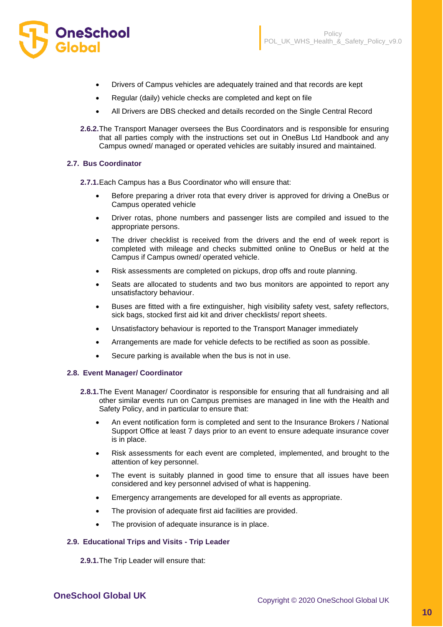

- Drivers of Campus vehicles are adequately trained and that records are kept
- Regular (daily) vehicle checks are completed and kept on file
- All Drivers are DBS checked and details recorded on the Single Central Record
- **2.6.2.**The Transport Manager oversees the Bus Coordinators and is responsible for ensuring that all parties comply with the instructions set out in OneBus Ltd Handbook and any Campus owned/ managed or operated vehicles are suitably insured and maintained.

#### <span id="page-9-0"></span>**2.7. Bus Coordinator**

**OneSchool** 

**2.7.1.**Each Campus has a Bus Coordinator who will ensure that:

- Before preparing a driver rota that every driver is approved for driving a OneBus or Campus operated vehicle
- Driver rotas, phone numbers and passenger lists are compiled and issued to the appropriate persons.
- The driver checklist is received from the drivers and the end of week report is completed with mileage and checks submitted online to OneBus or held at the Campus if Campus owned/ operated vehicle.
- Risk assessments are completed on pickups, drop offs and route planning.
- Seats are allocated to students and two bus monitors are appointed to report any unsatisfactory behaviour.
- Buses are fitted with a fire extinguisher, high visibility safety vest, safety reflectors, sick bags, stocked first aid kit and driver checklists/ report sheets.
- Unsatisfactory behaviour is reported to the Transport Manager immediately
- Arrangements are made for vehicle defects to be rectified as soon as possible.
- Secure parking is available when the bus is not in use.

#### <span id="page-9-1"></span>**2.8. Event Manager/ Coordinator**

- **2.8.1.**The Event Manager/ Coordinator is responsible for ensuring that all fundraising and all other similar events run on Campus premises are managed in line with the Health and Safety Policy, and in particular to ensure that:
	- An event notification form is completed and sent to the Insurance Brokers / National Support Office at least 7 days prior to an event to ensure adequate insurance cover is in place.
	- Risk assessments for each event are completed, implemented, and brought to the attention of key personnel.
	- The event is suitably planned in good time to ensure that all issues have been considered and key personnel advised of what is happening.
	- Emergency arrangements are developed for all events as appropriate.
	- The provision of adequate first aid facilities are provided.
	- The provision of adequate insurance is in place.

#### <span id="page-9-2"></span>**2.9. Educational Trips and Visits - Trip Leader**

**2.9.1.**The Trip Leader will ensure that: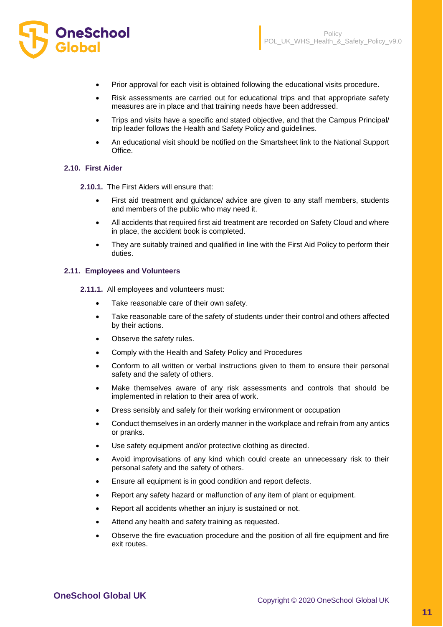

- Prior approval for each visit is obtained following the educational visits procedure.
- Risk assessments are carried out for educational trips and that appropriate safety measures are in place and that training needs have been addressed.
- Trips and visits have a specific and stated objective, and that the Campus Principal/ trip leader follows the Health and Safety Policy and guidelines.
- An educational visit should be notified on the Smartsheet link to the National Support Office.

#### <span id="page-10-0"></span>**2.10. First Aider**

**OneSchool** 

**2.10.1.** The First Aiders will ensure that:

- First aid treatment and guidance/ advice are given to any staff members, students and members of the public who may need it.
- All accidents that required first aid treatment are recorded on Safety Cloud and where in place, the accident book is completed.
- They are suitably trained and qualified in line with the First Aid Policy to perform their duties.

#### <span id="page-10-1"></span>**2.11. Employees and Volunteers**

**2.11.1.** All employees and volunteers must:

- Take reasonable care of their own safety.
- Take reasonable care of the safety of students under their control and others affected by their actions.
- Observe the safety rules.
- Comply with the Health and Safety Policy and Procedures
- Conform to all written or verbal instructions given to them to ensure their personal safety and the safety of others.
- Make themselves aware of any risk assessments and controls that should be implemented in relation to their area of work.
- Dress sensibly and safely for their working environment or occupation
- Conduct themselves in an orderly manner in the workplace and refrain from any antics or pranks.
- Use safety equipment and/or protective clothing as directed.
- Avoid improvisations of any kind which could create an unnecessary risk to their personal safety and the safety of others.
- Ensure all equipment is in good condition and report defects.
- Report any safety hazard or malfunction of any item of plant or equipment.
- Report all accidents whether an injury is sustained or not.
- Attend any health and safety training as requested.
- Observe the fire evacuation procedure and the position of all fire equipment and fire exit routes.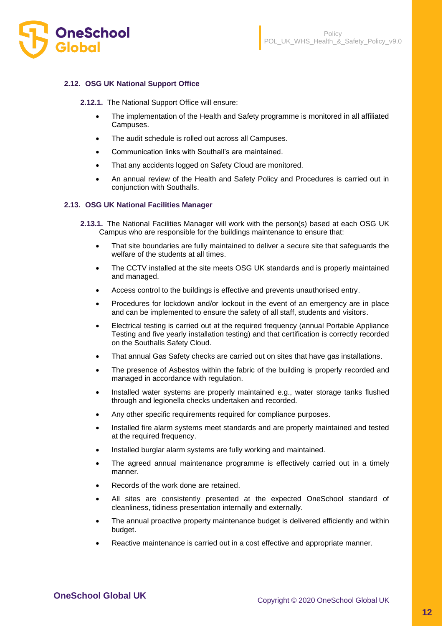

#### <span id="page-11-0"></span>**2.12. OSG UK National Support Office**

**2.12.1.** The National Support Office will ensure:

- The implementation of the Health and Safety programme is monitored in all affiliated Campuses.
- The audit schedule is rolled out across all Campuses.
- Communication links with Southall's are maintained.
- That any accidents logged on Safety Cloud are monitored.
- An annual review of the Health and Safety Policy and Procedures is carried out in conjunction with Southalls.

#### <span id="page-11-1"></span>**2.13. OSG UK National Facilities Manager**

- **2.13.1.** The National Facilities Manager will work with the person(s) based at each OSG UK Campus who are responsible for the buildings maintenance to ensure that:
	- That site boundaries are fully maintained to deliver a secure site that safeguards the welfare of the students at all times.
	- The CCTV installed at the site meets OSG UK standards and is properly maintained and managed.
	- Access control to the buildings is effective and prevents unauthorised entry.
	- Procedures for lockdown and/or lockout in the event of an emergency are in place and can be implemented to ensure the safety of all staff, students and visitors.
	- Electrical testing is carried out at the required frequency (annual Portable Appliance Testing and five yearly installation testing) and that certification is correctly recorded on the Southalls Safety Cloud.
	- That annual Gas Safety checks are carried out on sites that have gas installations.
	- The presence of Asbestos within the fabric of the building is properly recorded and managed in accordance with regulation.
	- Installed water systems are properly maintained e.g., water storage tanks flushed through and legionella checks undertaken and recorded.
	- Any other specific requirements required for compliance purposes.
	- Installed fire alarm systems meet standards and are properly maintained and tested at the required frequency.
	- Installed burglar alarm systems are fully working and maintained.
	- The agreed annual maintenance programme is effectively carried out in a timely manner.
	- Records of the work done are retained.
	- All sites are consistently presented at the expected OneSchool standard of cleanliness, tidiness presentation internally and externally.
	- The annual proactive property maintenance budget is delivered efficiently and within budget.
	- Reactive maintenance is carried out in a cost effective and appropriate manner.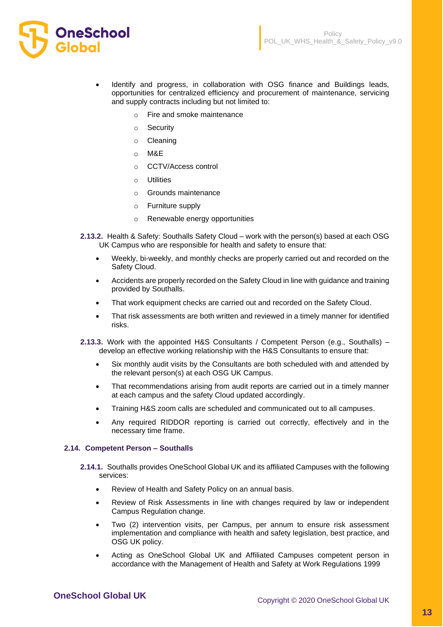

- Identify and progress, in collaboration with OSG finance and Buildings leads, opportunities for centralized efficiency and procurement of maintenance, servicing and supply contracts including but not limited to:
	- Fire and smoke maintenance
	- o Security
	- o Cleaning
	- o M&E
	- o CCTV/Access control
	- o Utilities
	- o Grounds maintenance
	- o Furniture supply
	- o Renewable energy opportunities
- **2.13.2.** Health & Safety: Southalls Safety Cloud work with the person(s) based at each OSG UK Campus who are responsible for health and safety to ensure that:
	- Weekly, bi-weekly, and monthly checks are properly carried out and recorded on the Safety Cloud.
	- Accidents are properly recorded on the Safety Cloud in line with guidance and training provided by Southalls.
	- That work equipment checks are carried out and recorded on the Safety Cloud.
	- That risk assessments are both written and reviewed in a timely manner for identified risks.
- **2.13.3.** Work with the appointed H&S Consultants / Competent Person (e.g., Southalls) develop an effective working relationship with the H&S Consultants to ensure that:
	- Six monthly audit visits by the Consultants are both scheduled with and attended by the relevant person(s) at each OSG UK Campus.
	- That recommendations arising from audit reports are carried out in a timely manner at each campus and the safety Cloud updated accordingly.
	- Training H&S zoom calls are scheduled and communicated out to all campuses.
	- Any required RIDDOR reporting is carried out correctly, effectively and in the necessary time frame.

#### <span id="page-12-0"></span>**2.14. Competent Person – Southalls**

- **2.14.1.** Southalls provides OneSchool Global UK and its affiliated Campuses with the following services:
	- Review of Health and Safety Policy on an annual basis.
	- Review of Risk Assessments in line with changes required by law or independent Campus Regulation change.
	- Two (2) intervention visits, per Campus, per annum to ensure risk assessment implementation and compliance with health and safety legislation, best practice, and OSG UK policy.
	- Acting as OneSchool Global UK and Affiliated Campuses competent person in accordance with the Management of Health and Safety at Work Regulations 1999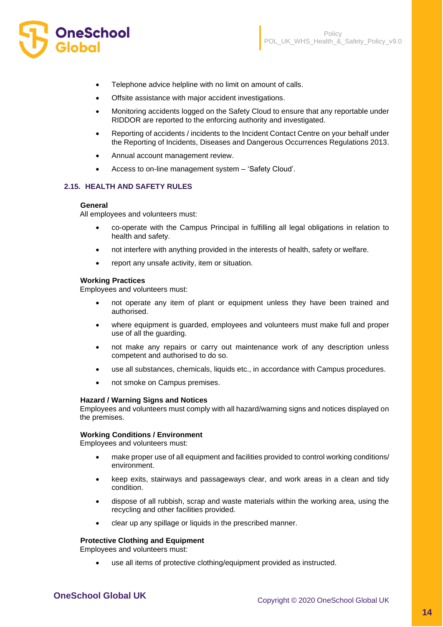

- Telephone advice helpline with no limit on amount of calls.
- Offsite assistance with major accident investigations.
- Monitoring accidents logged on the Safety Cloud to ensure that any reportable under RIDDOR are reported to the enforcing authority and investigated.
- Reporting of accidents / incidents to the Incident Contact Centre on your behalf under the Reporting of Incidents, Diseases and Dangerous Occurrences Regulations 2013.
- Annual account management review.
- Access to on-line management system 'Safety Cloud'.

#### <span id="page-13-0"></span>**2.15. HEALTH AND SAFETY RULES**

#### **General**

All employees and volunteers must:

- co-operate with the Campus Principal in fulfilling all legal obligations in relation to health and safety.
- not interfere with anything provided in the interests of health, safety or welfare.
- report any unsafe activity, item or situation.

#### **Working Practices**

Employees and volunteers must:

- not operate any item of plant or equipment unless they have been trained and authorised.
- where equipment is guarded, employees and volunteers must make full and proper use of all the guarding.
- not make any repairs or carry out maintenance work of any description unless competent and authorised to do so.
- use all substances, chemicals, liquids etc., in accordance with Campus procedures.
- not smoke on Campus premises.

#### **Hazard / Warning Signs and Notices**

Employees and volunteers must comply with all hazard/warning signs and notices displayed on the premises.

#### **Working Conditions / Environment**

Employees and volunteers must:

- make proper use of all equipment and facilities provided to control working conditions/ environment.
- keep exits, stairways and passageways clear, and work areas in a clean and tidy condition.
- dispose of all rubbish, scrap and waste materials within the working area, using the recycling and other facilities provided.
- clear up any spillage or liquids in the prescribed manner.

#### **Protective Clothing and Equipment**

Employees and volunteers must:

use all items of protective clothing/equipment provided as instructed.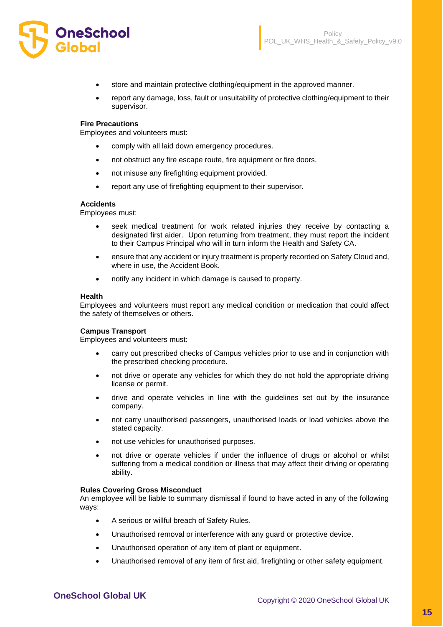

- store and maintain protective clothing/equipment in the approved manner.
- report any damage, loss, fault or unsuitability of protective clothing/equipment to their supervisor.

#### **Fire Precautions**

Employees and volunteers must:

- comply with all laid down emergency procedures.
- not obstruct any fire escape route, fire equipment or fire doors.
- not misuse any firefighting equipment provided.
- report any use of firefighting equipment to their supervisor.

#### **Accidents**

Employees must:

- seek medical treatment for work related injuries they receive by contacting a designated first aider. Upon returning from treatment, they must report the incident to their Campus Principal who will in turn inform the Health and Safety CA.
- ensure that any accident or injury treatment is properly recorded on Safety Cloud and, where in use, the Accident Book.
- notify any incident in which damage is caused to property.

#### **Health**

Employees and volunteers must report any medical condition or medication that could affect the safety of themselves or others.

#### **Campus Transport**

Employees and volunteers must:

- carry out prescribed checks of Campus vehicles prior to use and in conjunction with the prescribed checking procedure.
- not drive or operate any vehicles for which they do not hold the appropriate driving license or permit.
- drive and operate vehicles in line with the guidelines set out by the insurance company.
- not carry unauthorised passengers, unauthorised loads or load vehicles above the stated capacity.
- not use vehicles for unauthorised purposes.
- not drive or operate vehicles if under the influence of drugs or alcohol or whilst suffering from a medical condition or illness that may affect their driving or operating ability.

#### **Rules Covering Gross Misconduct**

An employee will be liable to summary dismissal if found to have acted in any of the following ways:

- A serious or willful breach of Safety Rules.
- Unauthorised removal or interference with any guard or protective device.
- Unauthorised operation of any item of plant or equipment.
- Unauthorised removal of any item of first aid, firefighting or other safety equipment.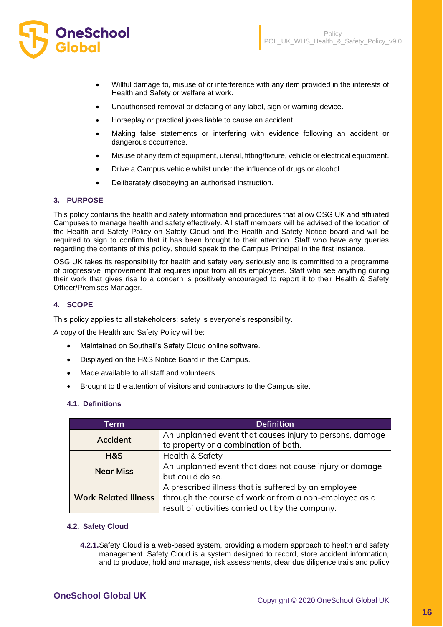

- Willful damage to, misuse of or interference with any item provided in the interests of Health and Safety or welfare at work.
- Unauthorised removal or defacing of any label, sign or warning device.
- Horseplay or practical jokes liable to cause an accident.
- Making false statements or interfering with evidence following an accident or dangerous occurrence.
- Misuse of any item of equipment, utensil, fitting/fixture, vehicle or electrical equipment.
- Drive a Campus vehicle whilst under the influence of drugs or alcohol.
- Deliberately disobeying an authorised instruction.

#### <span id="page-15-0"></span>**3. PURPOSE**

This policy contains the health and safety information and procedures that allow OSG UK and affiliated Campuses to manage health and safety effectively. All staff members will be advised of the location of the Health and Safety Policy on Safety Cloud and the Health and Safety Notice board and will be required to sign to confirm that it has been brought to their attention. Staff who have any queries regarding the contents of this policy, should speak to the Campus Principal in the first instance.

OSG UK takes its responsibility for health and safety very seriously and is committed to a programme of progressive improvement that requires input from all its employees. Staff who see anything during their work that gives rise to a concern is positively encouraged to report it to their Health & Safety Officer/Premises Manager.

#### <span id="page-15-1"></span>**4. SCOPE**

This policy applies to all stakeholders; safety is everyone's responsibility.

A copy of the Health and Safety Policy will be:

- Maintained on Southall's Safety Cloud online software.
- Displayed on the H&S Notice Board in the Campus.
- Made available to all staff and volunteers.
- Brought to the attention of visitors and contractors to the Campus site.

#### <span id="page-15-2"></span>**4.1. Definitions**

| Term                        | <b>Definition</b>                                        |  |  |
|-----------------------------|----------------------------------------------------------|--|--|
| <b>Accident</b>             | An unplanned event that causes injury to persons, damage |  |  |
|                             | to property or a combination of both.                    |  |  |
| H&S                         | Health & Safety                                          |  |  |
| <b>Near Miss</b>            | An unplanned event that does not cause injury or damage  |  |  |
|                             | but could do so.                                         |  |  |
|                             | A prescribed illness that is suffered by an employee     |  |  |
| <b>Work Related Illness</b> | through the course of work or from a non-employee as a   |  |  |
|                             | result of activities carried out by the company.         |  |  |

#### <span id="page-15-3"></span>**4.2. Safety Cloud**

**4.2.1.**Safety Cloud is a web-based system, providing a modern approach to health and safety management. Safety Cloud is a system designed to record, store accident information, and to produce, hold and manage, risk assessments, clear due diligence trails and policy

## **OneSchool Global UK**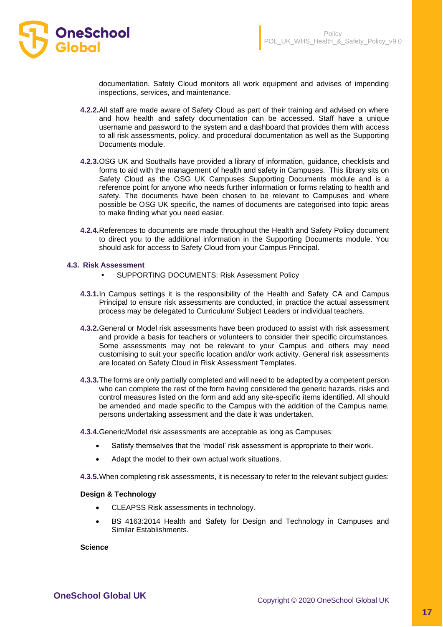

documentation. Safety Cloud monitors all work equipment and advises of impending inspections, services, and maintenance.

- **4.2.2.**All staff are made aware of Safety Cloud as part of their training and advised on where and how health and safety documentation can be accessed. Staff have a unique username and password to the system and a dashboard that provides them with access to all risk assessments, policy, and procedural documentation as well as the Supporting Documents module.
- **4.2.3.**OSG UK and Southalls have provided a library of information, guidance, checklists and forms to aid with the management of health and safety in Campuses. This library sits on Safety Cloud as the OSG UK Campuses Supporting Documents module and is a reference point for anyone who needs further information or forms relating to health and safety. The documents have been chosen to be relevant to Campuses and where possible be OSG UK specific, the names of documents are categorised into topic areas to make finding what you need easier.
- **4.2.4.**References to documents are made throughout the Health and Safety Policy document to direct you to the additional information in the Supporting Documents module. You should ask for access to Safety Cloud from your Campus Principal.

#### <span id="page-16-0"></span>**4.3. Risk Assessment**

- SUPPORTING DOCUMENTS: Risk Assessment Policy
- **4.3.1.**In Campus settings it is the responsibility of the Health and Safety CA and Campus Principal to ensure risk assessments are conducted, in practice the actual assessment process may be delegated to Curriculum/ Subject Leaders or individual teachers.
- **4.3.2.**General or Model risk assessments have been produced to assist with risk assessment and provide a basis for teachers or volunteers to consider their specific circumstances. Some assessments may not be relevant to your Campus and others may need customising to suit your specific location and/or work activity. General risk assessments are located on Safety Cloud in Risk Assessment Templates.
- **4.3.3.**The forms are only partially completed and will need to be adapted by a competent person who can complete the rest of the form having considered the generic hazards, risks and control measures listed on the form and add any site-specific items identified. All should be amended and made specific to the Campus with the addition of the Campus name, persons undertaking assessment and the date it was undertaken.
- **4.3.4.**Generic/Model risk assessments are acceptable as long as Campuses:
	- Satisfy themselves that the 'model' risk assessment is appropriate to their work.
	- Adapt the model to their own actual work situations.
- **4.3.5.**When completing risk assessments, it is necessary to refer to the relevant subject guides:

#### **Design & Technology**

- CLEAPSS Risk assessments in technology.
- BS 4163:2014 Health and Safety for Design and Technology in Campuses and Similar Establishments.

#### **Science**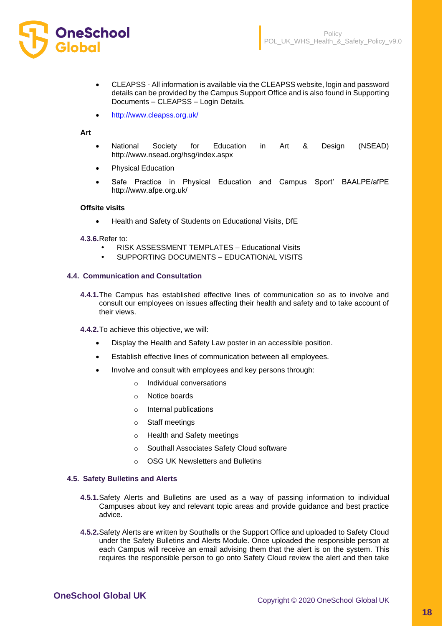

- CLEAPSS All information is available via the CLEAPSS website, login and password details can be provided by the Campus Support Office and is also found in Supporting Documents – CLEAPSS – Login Details.
- <http://www.cleapss.org.uk/>

#### **Art**

- National Society for Education in Art & Design (NSEAD) <http://www.nsead.org/hsg/index.aspx>
- Physical Education
- Safe Practice in Physical Education and Campus Sport' BAALPE/afPE <http://www.afpe.org.uk/>

#### **Offsite visits**

• Health and Safety of Students on Educational Visits, DfE

#### **4.3.6.**Refer to:

- RISK ASSESSMENT TEMPLATES Educational Visits
- SUPPORTING DOCUMENTS EDUCATIONAL VISITS

#### <span id="page-17-0"></span>**4.4. Communication and Consultation**

- **4.4.1.**The Campus has established effective lines of communication so as to involve and consult our employees on issues affecting their health and safety and to take account of their views.
- **4.4.2.**To achieve this objective, we will:
	- Display the Health and Safety Law poster in an accessible position.
	- Establish effective lines of communication between all employees.
	- Involve and consult with employees and key persons through:
		- o Individual conversations
		- o Notice boards
		- o Internal publications
		- o Staff meetings
		- o Health and Safety meetings
		- o Southall Associates Safety Cloud software
		- o OSG UK Newsletters and Bulletins

#### <span id="page-17-1"></span>**4.5. Safety Bulletins and Alerts**

- **4.5.1.**Safety Alerts and Bulletins are used as a way of passing information to individual Campuses about key and relevant topic areas and provide guidance and best practice advice.
- **4.5.2.**Safety Alerts are written by Southalls or the Support Office and uploaded to Safety Cloud under the Safety Bulletins and Alerts Module. Once uploaded the responsible person at each Campus will receive an email advising them that the alert is on the system. This requires the responsible person to go onto Safety Cloud review the alert and then take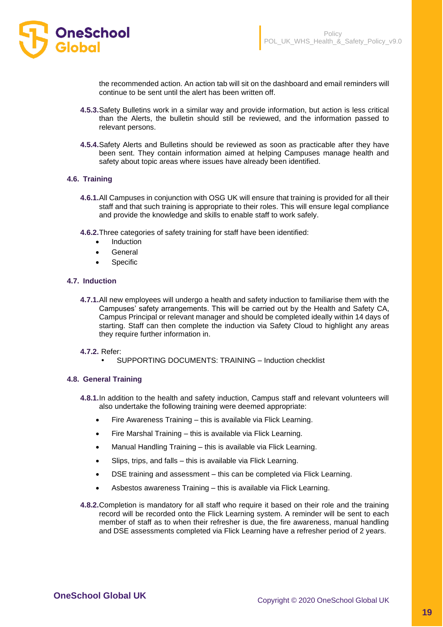

the recommended action. An action tab will sit on the dashboard and email reminders will continue to be sent until the alert has been written off.

- **4.5.3.**Safety Bulletins work in a similar way and provide information, but action is less critical than the Alerts, the bulletin should still be reviewed, and the information passed to relevant persons.
- **4.5.4.**Safety Alerts and Bulletins should be reviewed as soon as practicable after they have been sent. They contain information aimed at helping Campuses manage health and safety about topic areas where issues have already been identified.

#### <span id="page-18-0"></span>**4.6. Training**

- **4.6.1.**All Campuses in conjunction with OSG UK will ensure that training is provided for all their staff and that such training is appropriate to their roles. This will ensure legal compliance and provide the knowledge and skills to enable staff to work safely.
- **4.6.2.**Three categories of safety training for staff have been identified:
	- **Induction**
	- General
	- **Specific**

#### <span id="page-18-1"></span>**4.7. Induction**

**4.7.1.**All new employees will undergo a health and safety induction to familiarise them with the Campuses' safety arrangements. This will be carried out by the Health and Safety CA, Campus Principal or relevant manager and should be completed ideally within 14 days of starting. Staff can then complete the induction via Safety Cloud to highlight any areas they require further information in.

#### **4.7.2.** Refer:

SUPPORTING DOCUMENTS: TRAINING – Induction checklist

#### <span id="page-18-2"></span>**4.8. General Training**

- **4.8.1.**In addition to the health and safety induction, Campus staff and relevant volunteers will also undertake the following training were deemed appropriate:
	- Fire Awareness Training this is available via Flick Learning.
	- Fire Marshal Training this is available via Flick Learning.
	- Manual Handling Training this is available via Flick Learning.
	- Slips, trips, and falls this is available via Flick Learning.
	- DSE training and assessment this can be completed via Flick Learning.
	- Asbestos awareness Training this is available via Flick Learning.
- **4.8.2.**Completion is mandatory for all staff who require it based on their role and the training record will be recorded onto the Flick Learning system. A reminder will be sent to each member of staff as to when their refresher is due, the fire awareness, manual handling and DSE assessments completed via Flick Learning have a refresher period of 2 years.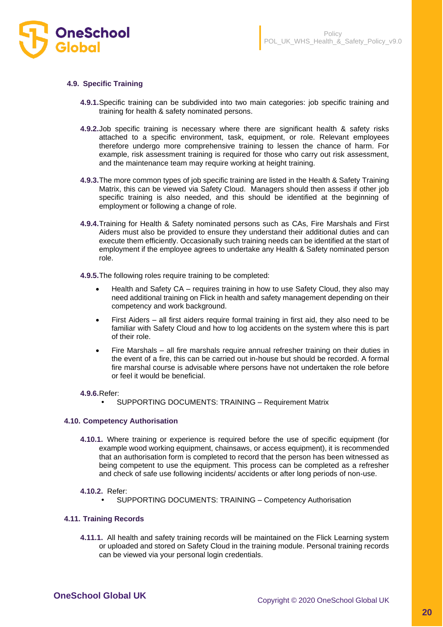

#### <span id="page-19-0"></span>**4.9. Specific Training**

- **4.9.1.**Specific training can be subdivided into two main categories: job specific training and training for health & safety nominated persons.
- **4.9.2.**Job specific training is necessary where there are significant health & safety risks attached to a specific environment, task, equipment, or role. Relevant employees therefore undergo more comprehensive training to lessen the chance of harm. For example, risk assessment training is required for those who carry out risk assessment, and the maintenance team may require working at height training.
- **4.9.3.**The more common types of job specific training are listed in the Health & Safety Training Matrix, this can be viewed via Safety Cloud. Managers should then assess if other job specific training is also needed, and this should be identified at the beginning of employment or following a change of role.
- **4.9.4.**Training for Health & Safety nominated persons such as CAs, Fire Marshals and First Aiders must also be provided to ensure they understand their additional duties and can execute them efficiently. Occasionally such training needs can be identified at the start of employment if the employee agrees to undertake any Health & Safety nominated person role.
- **4.9.5.**The following roles require training to be completed:
	- Health and Safety CA requires training in how to use Safety Cloud, they also may need additional training on Flick in health and safety management depending on their competency and work background.
	- First Aiders all first aiders require formal training in first aid, they also need to be familiar with Safety Cloud and how to log accidents on the system where this is part of their role.
	- Fire Marshals all fire marshals require annual refresher training on their duties in the event of a fire, this can be carried out in-house but should be recorded. A formal fire marshal course is advisable where persons have not undertaken the role before or feel it would be beneficial.

#### **4.9.6.**Refer:

SUPPORTING DOCUMENTS: TRAINING – Requirement Matrix

#### <span id="page-19-1"></span>**4.10. Competency Authorisation**

**4.10.1.** Where training or experience is required before the use of specific equipment (for example wood working equipment, chainsaws, or access equipment), it is recommended that an authorisation form is completed to record that the person has been witnessed as being competent to use the equipment. This process can be completed as a refresher and check of safe use following incidents/ accidents or after long periods of non-use.

#### **4.10.2.** Refer:

SUPPORTING DOCUMENTS: TRAINING – Competency Authorisation

#### <span id="page-19-2"></span>**4.11. Training Records**

**4.11.1.** All health and safety training records will be maintained on the Flick Learning system or uploaded and stored on Safety Cloud in the training module. Personal training records can be viewed via your personal login credentials.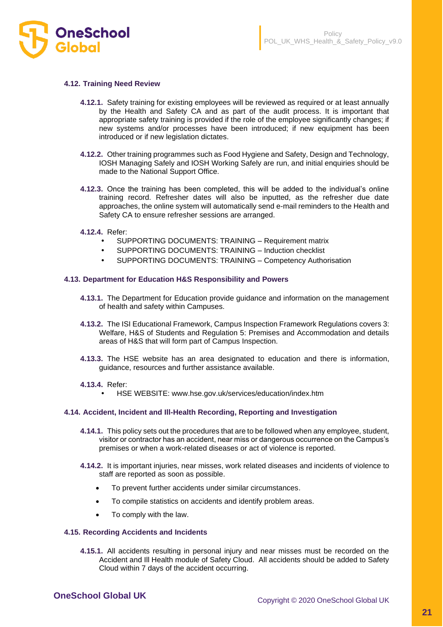

#### <span id="page-20-0"></span>**4.12. Training Need Review**

- **4.12.1.** Safety training for existing employees will be reviewed as required or at least annually by the Health and Safety CA and as part of the audit process. It is important that appropriate safety training is provided if the role of the employee significantly changes; if new systems and/or processes have been introduced; if new equipment has been introduced or if new legislation dictates.
- **4.12.2.** Other training programmes such as Food Hygiene and Safety, Design and Technology, IOSH Managing Safely and IOSH Working Safely are run, and initial enquiries should be made to the National Support Office.
- **4.12.3.** Once the training has been completed, this will be added to the individual's online training record. Refresher dates will also be inputted, as the refresher due date approaches, the online system will automatically send e-mail reminders to the Health and Safety CA to ensure refresher sessions are arranged.
- **4.12.4.** Refer:
	- SUPPORTING DOCUMENTS: TRAINING Requirement matrix
	- SUPPORTING DOCUMENTS: TRAINING Induction checklist
	- SUPPORTING DOCUMENTS: TRAINING Competency Authorisation

#### <span id="page-20-1"></span>**4.13. Department for Education H&S Responsibility and Powers**

- **4.13.1.** The Department for Education provide guidance and information on the management of health and safety within Campuses.
- **4.13.2.** The ISI Educational Framework, Campus Inspection Framework Regulations covers 3: Welfare, H&S of Students and Regulation 5: Premises and Accommodation and details areas of H&S that will form part of Campus Inspection.
- **4.13.3.** The HSE website has an area designated to education and there is information, guidance, resources and further assistance available.
- **4.13.4.** Refer:
	- HSE WEBSITE: www.hse.gov.uk/services/education/index.htm

#### <span id="page-20-2"></span>**4.14. Accident, Incident and Ill-Health Recording, Reporting and Investigation**

- **4.14.1.** This policy sets out the procedures that are to be followed when any employee, student, visitor or contractor has an accident, near miss or dangerous occurrence on the Campus's premises or when a work-related diseases or act of violence is reported.
- **4.14.2.** It is important injuries, near misses, work related diseases and incidents of violence to staff are reported as soon as possible.
	- To prevent further accidents under similar circumstances.
	- To compile statistics on accidents and identify problem areas.
	- To comply with the law.

#### <span id="page-20-3"></span>**4.15. Recording Accidents and Incidents**

**4.15.1.** All accidents resulting in personal injury and near misses must be recorded on the Accident and Ill Health module of Safety Cloud. All accidents should be added to Safety Cloud within 7 days of the accident occurring.

#### **OneSchool Global UK**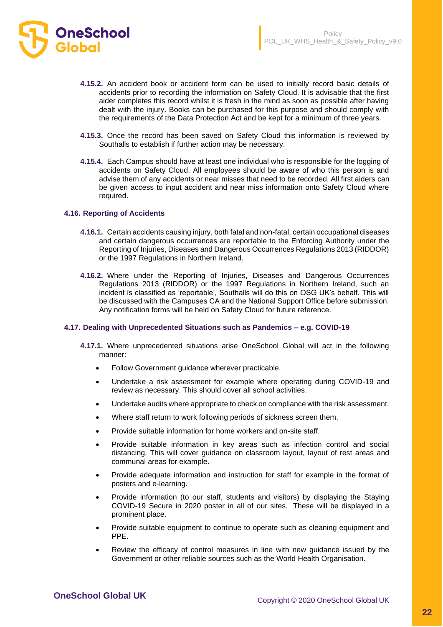

- **4.15.2.** An accident book or accident form can be used to initially record basic details of accidents prior to recording the information on Safety Cloud. It is advisable that the first aider completes this record whilst it is fresh in the mind as soon as possible after having dealt with the injury. Books can be purchased for this purpose and should comply with the requirements of the Data Protection Act and be kept for a minimum of three years.
- **4.15.3.** Once the record has been saved on Safety Cloud this information is reviewed by Southalls to establish if further action may be necessary.
- **4.15.4.** Each Campus should have at least one individual who is responsible for the logging of accidents on Safety Cloud. All employees should be aware of who this person is and advise them of any accidents or near misses that need to be recorded. All first aiders can be given access to input accident and near miss information onto Safety Cloud where required.

#### <span id="page-21-0"></span>**4.16. Reporting of Accidents**

- **4.16.1.** Certain accidents causing injury, both fatal and non-fatal, certain occupational diseases and certain dangerous occurrences are reportable to the Enforcing Authority under the Reporting of Injuries, Diseases and Dangerous Occurrences Regulations 2013 (RIDDOR) or the 1997 Regulations in Northern Ireland.
- **4.16.2.** Where under the Reporting of Injuries, Diseases and Dangerous Occurrences Regulations 2013 (RIDDOR) or the 1997 Regulations in Northern Ireland, such an incident is classified as 'reportable', Southalls will do this on OSG UK's behalf. This will be discussed with the Campuses CA and the National Support Office before submission. Any notification forms will be held on Safety Cloud for future reference.

#### <span id="page-21-1"></span>**4.17. Dealing with Unprecedented Situations such as Pandemics – e.g. COVID-19**

- **4.17.1.** Where unprecedented situations arise OneSchool Global will act in the following manner:
	- Follow Government guidance wherever practicable.
	- Undertake a risk assessment for example where operating during COVID-19 and review as necessary. This should cover all school activities.
	- Undertake audits where appropriate to check on compliance with the risk assessment.
	- Where staff return to work following periods of sickness screen them.
	- Provide suitable information for home workers and on-site staff.
	- Provide suitable information in key areas such as infection control and social distancing. This will cover guidance on classroom layout, layout of rest areas and communal areas for example.
	- Provide adequate information and instruction for staff for example in the format of posters and e-learning.
	- Provide information (to our staff, students and visitors) by displaying the Staying COVID-19 Secure in 2020 poster in all of our sites. These will be displayed in a prominent place.
	- Provide suitable equipment to continue to operate such as cleaning equipment and PPE.
	- Review the efficacy of control measures in line with new guidance issued by the Government or other reliable sources such as the World Health Organisation.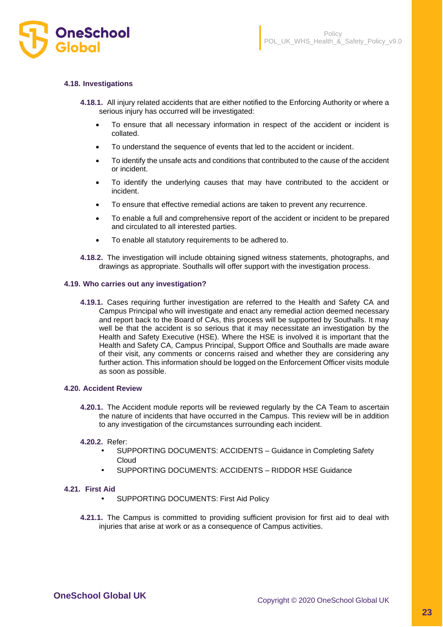

#### <span id="page-22-0"></span>**4.18. Investigations**

- **4.18.1.** All injury related accidents that are either notified to the Enforcing Authority or where a serious injury has occurred will be investigated:
	- To ensure that all necessary information in respect of the accident or incident is collated.
	- To understand the sequence of events that led to the accident or incident.
	- To identify the unsafe acts and conditions that contributed to the cause of the accident or incident.
	- To identify the underlying causes that may have contributed to the accident or incident.
	- To ensure that effective remedial actions are taken to prevent any recurrence.
	- To enable a full and comprehensive report of the accident or incident to be prepared and circulated to all interested parties.
	- To enable all statutory requirements to be adhered to.
- **4.18.2.** The investigation will include obtaining signed witness statements, photographs, and drawings as appropriate. Southalls will offer support with the investigation process.

#### <span id="page-22-1"></span>**4.19. Who carries out any investigation?**

**4.19.1.** Cases requiring further investigation are referred to the Health and Safety CA and Campus Principal who will investigate and enact any remedial action deemed necessary and report back to the Board of CAs, this process will be supported by Southalls. It may well be that the accident is so serious that it may necessitate an investigation by the Health and Safety Executive (HSE). Where the HSE is involved it is important that the Health and Safety CA, Campus Principal, Support Office and Southalls are made aware of their visit, any comments or concerns raised and whether they are considering any further action. This information should be logged on the Enforcement Officer visits module as soon as possible.

#### <span id="page-22-2"></span>**4.20. Accident Review**

**4.20.1.** The Accident module reports will be reviewed regularly by the CA Team to ascertain the nature of incidents that have occurred in the Campus. This review will be in addition to any investigation of the circumstances surrounding each incident.

#### **4.20.2.** Refer:

- SUPPORTING DOCUMENTS: ACCIDENTS Guidance in Completing Safety Cloud
- SUPPORTING DOCUMENTS: ACCIDENTS RIDDOR HSE Guidance

#### <span id="page-22-3"></span>**4.21. First Aid**

- SUPPORTING DOCUMENTS: First Aid Policy
- **4.21.1.** The Campus is committed to providing sufficient provision for first aid to deal with injuries that arise at work or as a consequence of Campus activities.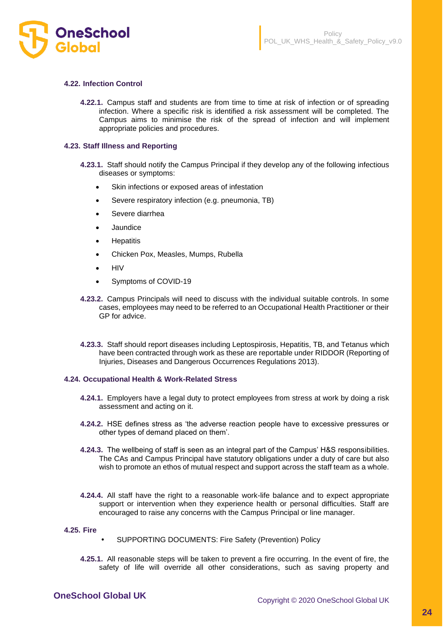

#### <span id="page-23-0"></span>**4.22. Infection Control**

**4.22.1.** Campus staff and students are from time to time at risk of infection or of spreading infection. Where a specific risk is identified a risk assessment will be completed. The Campus aims to minimise the risk of the spread of infection and will implement appropriate policies and procedures.

#### <span id="page-23-1"></span>**4.23. Staff Illness and Reporting**

- **4.23.1.** Staff should notify the Campus Principal if they develop any of the following infectious diseases or symptoms:
	- Skin infections or exposed areas of infestation
	- Severe respiratory infection (e.g. pneumonia, TB)
	- Severe diarrhea
	- Jaundice
	- **Hepatitis**
	- Chicken Pox, Measles, Mumps, Rubella
	- HIV
	- Symptoms of COVID-19
- **4.23.2.** Campus Principals will need to discuss with the individual suitable controls. In some cases, employees may need to be referred to an Occupational Health Practitioner or their GP for advice.
- **4.23.3.** Staff should report diseases including Leptospirosis, Hepatitis, TB, and Tetanus which have been contracted through work as these are reportable under RIDDOR (Reporting of Injuries, Diseases and Dangerous Occurrences Regulations 2013).

#### <span id="page-23-2"></span>**4.24. Occupational Health & Work-Related Stress**

- **4.24.1.** Employers have a legal duty to protect employees from stress at work by doing a risk assessment and acting on it.
- **4.24.2.** HSE defines stress as 'the adverse reaction people have to excessive pressures or other types of demand placed on them'.
- **4.24.3.** The wellbeing of staff is seen as an integral part of the Campus' H&S responsibilities. The CAs and Campus Principal have statutory obligations under a duty of care but also wish to promote an ethos of mutual respect and support across the staff team as a whole.
- **4.24.4.** All staff have the right to a reasonable work-life balance and to expect appropriate support or intervention when they experience health or personal difficulties. Staff are encouraged to raise any concerns with the Campus Principal or line manager.

#### <span id="page-23-3"></span>**4.25. Fire**

- SUPPORTING DOCUMENTS: Fire Safety (Prevention) Policy
- **4.25.1.** All reasonable steps will be taken to prevent a fire occurring. In the event of fire, the safety of life will override all other considerations, such as saving property and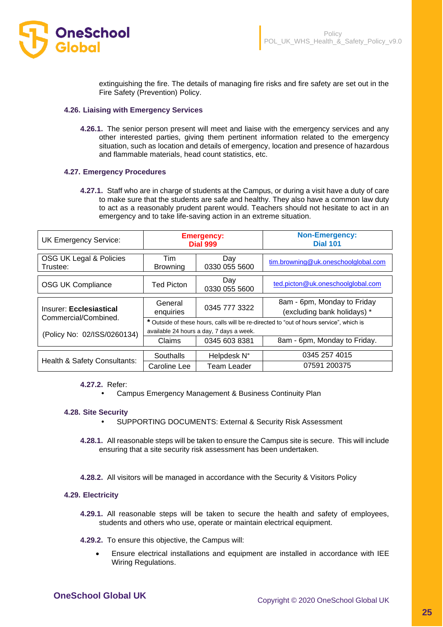

extinguishing the fire. The details of managing fire risks and fire safety are set out in the Fire Safety (Prevention) Policy.

#### <span id="page-24-0"></span>**4.26. Liaising with Emergency Services**

**4.26.1.** The senior person present will meet and liaise with the emergency services and any other interested parties, giving them pertinent information related to the emergency situation, such as location and details of emergency, location and presence of hazardous and flammable materials, head count statistics, etc.

#### <span id="page-24-1"></span>**4.27. Emergency Procedures**

**4.27.1.** Staff who are in charge of students at the Campus, or during a visit have a duty of care to make sure that the students are safe and healthy. They also have a common law duty to act as a reasonably prudent parent would. Teachers should not hesitate to act in an emergency and to take life-saving action in an extreme situation.

| <b>UK Emergency Service:</b>                        | <b>Emergency:</b><br><b>Dial 999</b>                                                                                                |                      | <b>Non-Emergency:</b><br><b>Dial 101</b>                   |
|-----------------------------------------------------|-------------------------------------------------------------------------------------------------------------------------------------|----------------------|------------------------------------------------------------|
| OSG UK Legal & Policies<br>Trustee:                 | Tim<br><b>Browning</b>                                                                                                              | Day<br>0330 055 5600 | tim.browning@uk.oneschoolglobal.com                        |
| <b>OSG UK Compliance</b>                            | <b>Ted Picton</b>                                                                                                                   | Day<br>0330 055 5600 | ted.picton@uk.oneschoolglobal.com                          |
| Insurer: Ecclesiastical                             | General<br>enquiries                                                                                                                | 0345 777 3322        | 8am - 6pm, Monday to Friday<br>(excluding bank holidays) * |
| Commercial/Combined.<br>(Policy No: 02/ISS/0260134) | * Outside of these hours, calls will be re-directed to "out of hours service", which is<br>available 24 hours a day, 7 days a week. |                      |                                                            |
|                                                     | Claims                                                                                                                              | 0345 603 8381        | 8am - 6pm, Monday to Friday.                               |
|                                                     | <b>Southalls</b>                                                                                                                    | Helpdesk N°          | 0345 257 4015                                              |
| Health & Safety Consultants:                        | Caroline Lee                                                                                                                        | Team Leader          | 07591 200375                                               |

**4.27.2.** Refer:

Campus Emergency Management & Business Continuity Plan

#### <span id="page-24-2"></span>**4.28. Site Security**

- SUPPORTING DOCUMENTS: External & Security Risk Assessment
- **4.28.1.** All reasonable steps will be taken to ensure the Campus site is secure. This will include ensuring that a site security risk assessment has been undertaken.
- **4.28.2.** All visitors will be managed in accordance with the Security & Visitors Policy

#### <span id="page-24-3"></span>**4.29. Electricity**

- **4.29.1.** All reasonable steps will be taken to secure the health and safety of employees, students and others who use, operate or maintain electrical equipment.
- **4.29.2.** To ensure this objective, the Campus will:
	- Ensure electrical installations and equipment are installed in accordance with IEE Wiring Regulations.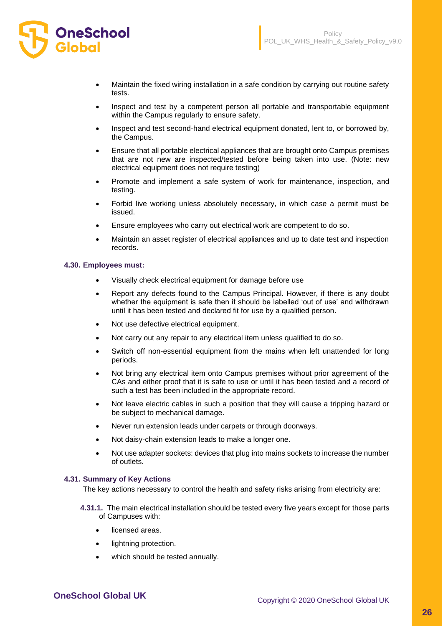

- Maintain the fixed wiring installation in a safe condition by carrying out routine safety tests.
- Inspect and test by a competent person all portable and transportable equipment within the Campus regularly to ensure safety.
- Inspect and test second-hand electrical equipment donated, lent to, or borrowed by, the Campus.
- Ensure that all portable electrical appliances that are brought onto Campus premises that are not new are inspected/tested before being taken into use. (Note: new electrical equipment does not require testing)
- Promote and implement a safe system of work for maintenance, inspection, and testing.
- Forbid live working unless absolutely necessary, in which case a permit must be issued.
- Ensure employees who carry out electrical work are competent to do so.
- Maintain an asset register of electrical appliances and up to date test and inspection records.

#### <span id="page-25-0"></span>**4.30. Employees must:**

**OneSchool** 

- Visually check electrical equipment for damage before use
- Report any defects found to the Campus Principal. However, if there is any doubt whether the equipment is safe then it should be labelled 'out of use' and withdrawn until it has been tested and declared fit for use by a qualified person.
- Not use defective electrical equipment.
- Not carry out any repair to any electrical item unless qualified to do so.
- Switch off non-essential equipment from the mains when left unattended for long periods.
- Not bring any electrical item onto Campus premises without prior agreement of the CAs and either proof that it is safe to use or until it has been tested and a record of such a test has been included in the appropriate record.
- Not leave electric cables in such a position that they will cause a tripping hazard or be subject to mechanical damage.
- Never run extension leads under carpets or through doorways.
- Not daisy-chain extension leads to make a longer one.
- Not use adapter sockets: devices that plug into mains sockets to increase the number of outlets.

#### <span id="page-25-1"></span>**4.31. Summary of Key Actions**

The key actions necessary to control the health and safety risks arising from electricity are:

- **4.31.1.** The main electrical installation should be tested every five years except for those parts of Campuses with:
	- licensed areas.
	- lightning protection.
	- which should be tested annually.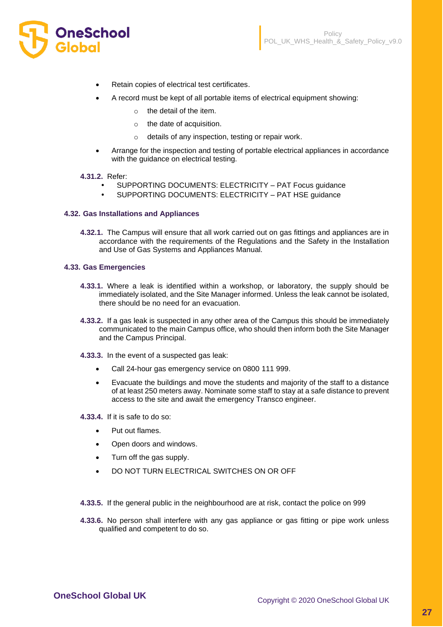

- Retain copies of electrical test certificates.
- A record must be kept of all portable items of electrical equipment showing:
	- o the detail of the item.
	- o the date of acquisition.
	- o details of any inspection, testing or repair work.
- Arrange for the inspection and testing of portable electrical appliances in accordance with the guidance on electrical testing.

#### **4.31.2.** Refer:

- SUPPORTING DOCUMENTS: ELECTRICITY PAT Focus guidance
- SUPPORTING DOCUMENTS: ELECTRICITY PAT HSE guidance

#### <span id="page-26-0"></span>**4.32. Gas Installations and Appliances**

**4.32.1.** The Campus will ensure that all work carried out on gas fittings and appliances are in accordance with the requirements of the Regulations and the Safety in the Installation and Use of Gas Systems and Appliances Manual.

#### <span id="page-26-1"></span>**4.33. Gas Emergencies**

- **4.33.1.** Where a leak is identified within a workshop, or laboratory, the supply should be immediately isolated, and the Site Manager informed. Unless the leak cannot be isolated, there should be no need for an evacuation.
- **4.33.2.** If a gas leak is suspected in any other area of the Campus this should be immediately communicated to the main Campus office, who should then inform both the Site Manager and the Campus Principal.
- **4.33.3.** In the event of a suspected gas leak:
	- Call 24-hour gas emergency service on 0800 111 999.
	- Evacuate the buildings and move the students and majority of the staff to a distance of at least 250 meters away. Nominate some staff to stay at a safe distance to prevent access to the site and await the emergency Transco engineer.

**4.33.4.** If it is safe to do so:

- Put out flames.
- Open doors and windows.
- Turn off the gas supply.
- DO NOT TURN ELECTRICAL SWITCHES ON OR OFF
- **4.33.5.** If the general public in the neighbourhood are at risk, contact the police on 999
- **4.33.6.** No person shall interfere with any gas appliance or gas fitting or pipe work unless qualified and competent to do so.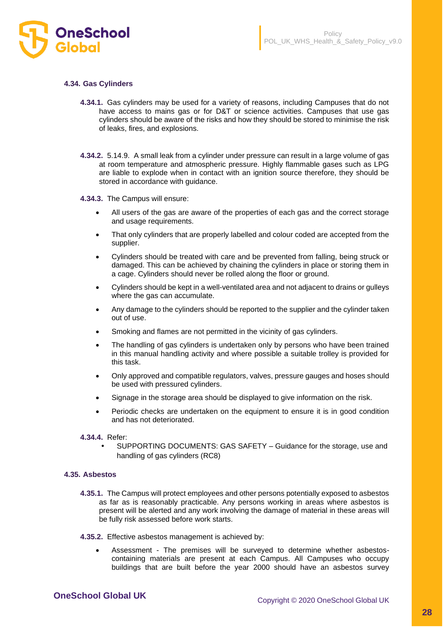

#### <span id="page-27-0"></span>**4.34. Gas Cylinders**

- **4.34.1.** Gas cylinders may be used for a variety of reasons, including Campuses that do not have access to mains gas or for D&T or science activities. Campuses that use gas cylinders should be aware of the risks and how they should be stored to minimise the risk of leaks, fires, and explosions.
- **4.34.2.** 5.14.9. A small leak from a cylinder under pressure can result in a large volume of gas at room temperature and atmospheric pressure. Highly flammable gases such as LPG are liable to explode when in contact with an ignition source therefore, they should be stored in accordance with guidance.
- **4.34.3.** The Campus will ensure:
	- All users of the gas are aware of the properties of each gas and the correct storage and usage requirements.
	- That only cylinders that are properly labelled and colour coded are accepted from the supplier.
	- Cylinders should be treated with care and be prevented from falling, being struck or damaged. This can be achieved by chaining the cylinders in place or storing them in a cage. Cylinders should never be rolled along the floor or ground.
	- Cylinders should be kept in a well-ventilated area and not adjacent to drains or gulleys where the gas can accumulate.
	- Any damage to the cylinders should be reported to the supplier and the cylinder taken out of use.
	- Smoking and flames are not permitted in the vicinity of gas cylinders.
	- The handling of gas cylinders is undertaken only by persons who have been trained in this manual handling activity and where possible a suitable trolley is provided for this task.
	- Only approved and compatible regulators, valves, pressure gauges and hoses should be used with pressured cylinders.
	- Signage in the storage area should be displayed to give information on the risk.
	- Periodic checks are undertaken on the equipment to ensure it is in good condition and has not deteriorated.

#### **4.34.4.** Refer:

 SUPPORTING DOCUMENTS: GAS SAFETY – Guidance for the storage, use and handling of gas cylinders (RC8)

#### <span id="page-27-1"></span>**4.35. Asbestos**

- **4.35.1.** The Campus will protect employees and other persons potentially exposed to asbestos as far as is reasonably practicable. Any persons working in areas where asbestos is present will be alerted and any work involving the damage of material in these areas will be fully risk assessed before work starts.
- **4.35.2.** Effective asbestos management is achieved by:
	- Assessment The premises will be surveyed to determine whether asbestoscontaining materials are present at each Campus. All Campuses who occupy buildings that are built before the year 2000 should have an asbestos survey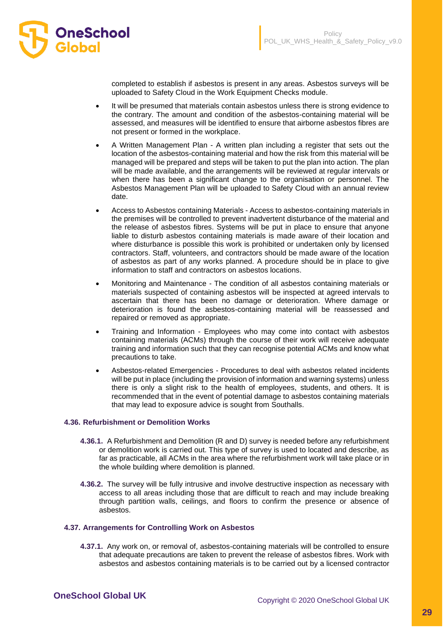

completed to establish if asbestos is present in any areas. Asbestos surveys will be uploaded to Safety Cloud in the Work Equipment Checks module.

- It will be presumed that materials contain asbestos unless there is strong evidence to the contrary. The amount and condition of the asbestos-containing material will be assessed, and measures will be identified to ensure that airborne asbestos fibres are not present or formed in the workplace.
- A Written Management Plan A written plan including a register that sets out the location of the asbestos-containing material and how the risk from this material will be managed will be prepared and steps will be taken to put the plan into action. The plan will be made available, and the arrangements will be reviewed at regular intervals or when there has been a significant change to the organisation or personnel. The Asbestos Management Plan will be uploaded to Safety Cloud with an annual review date.
- Access to Asbestos containing Materials Access to asbestos-containing materials in the premises will be controlled to prevent inadvertent disturbance of the material and the release of asbestos fibres. Systems will be put in place to ensure that anyone liable to disturb asbestos containing materials is made aware of their location and where disturbance is possible this work is prohibited or undertaken only by licensed contractors. Staff, volunteers, and contractors should be made aware of the location of asbestos as part of any works planned. A procedure should be in place to give information to staff and contractors on asbestos locations.
- Monitoring and Maintenance The condition of all asbestos containing materials or materials suspected of containing asbestos will be inspected at agreed intervals to ascertain that there has been no damage or deterioration. Where damage or deterioration is found the asbestos-containing material will be reassessed and repaired or removed as appropriate.
- Training and Information Employees who may come into contact with asbestos containing materials (ACMs) through the course of their work will receive adequate training and information such that they can recognise potential ACMs and know what precautions to take.
- Asbestos-related Emergencies Procedures to deal with asbestos related incidents will be put in place (including the provision of information and warning systems) unless there is only a slight risk to the health of employees, students, and others. It is recommended that in the event of potential damage to asbestos containing materials that may lead to exposure advice is sought from Southalls.

#### <span id="page-28-0"></span>**4.36. Refurbishment or Demolition Works**

- **4.36.1.** A Refurbishment and Demolition (R and D) survey is needed before any refurbishment or demolition work is carried out. This type of survey is used to located and describe, as far as practicable, all ACMs in the area where the refurbishment work will take place or in the whole building where demolition is planned.
- **4.36.2.** The survey will be fully intrusive and involve destructive inspection as necessary with access to all areas including those that are difficult to reach and may include breaking through partition walls, ceilings, and floors to confirm the presence or absence of asbestos.

#### <span id="page-28-1"></span>**4.37. Arrangements for Controlling Work on Asbestos**

**4.37.1.** Any work on, or removal of, asbestos-containing materials will be controlled to ensure that adequate precautions are taken to prevent the release of asbestos fibres. Work with asbestos and asbestos containing materials is to be carried out by a licensed contractor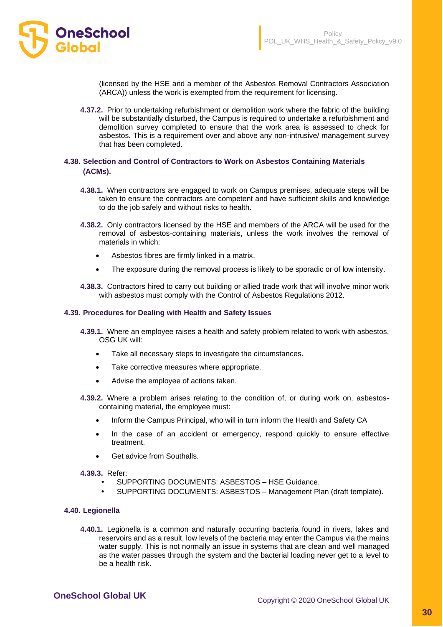

(licensed by the HSE and a member of the Asbestos Removal Contractors Association (ARCA)) unless the work is exempted from the requirement for licensing.

**4.37.2.** Prior to undertaking refurbishment or demolition work where the fabric of the building will be substantially disturbed, the Campus is required to undertake a refurbishment and demolition survey completed to ensure that the work area is assessed to check for asbestos. This is a requirement over and above any non-intrusive/ management survey that has been completed.

#### <span id="page-29-0"></span>**4.38. Selection and Control of Contractors to Work on Asbestos Containing Materials (ACMs).**

- **4.38.1.** When contractors are engaged to work on Campus premises, adequate steps will be taken to ensure the contractors are competent and have sufficient skills and knowledge to do the job safely and without risks to health.
- **4.38.2.** Only contractors licensed by the HSE and members of the ARCA will be used for the removal of asbestos-containing materials, unless the work involves the removal of materials in which:
	- Asbestos fibres are firmly linked in a matrix.
	- The exposure during the removal process is likely to be sporadic or of low intensity.
- **4.38.3.** Contractors hired to carry out building or allied trade work that will involve minor work with asbestos must comply with the Control of Asbestos Regulations 2012.

#### <span id="page-29-1"></span>**4.39. Procedures for Dealing with Health and Safety Issues**

- **4.39.1.** Where an employee raises a health and safety problem related to work with asbestos, OSG UK will:
	- Take all necessary steps to investigate the circumstances.
	- Take corrective measures where appropriate.
	- Advise the employee of actions taken.
- **4.39.2.** Where a problem arises relating to the condition of, or during work on, asbestoscontaining material, the employee must:
	- Inform the Campus Principal, who will in turn inform the Health and Safety CA
	- In the case of an accident or emergency, respond quickly to ensure effective treatment.
	- Get advice from Southalls.
- **4.39.3.** Refer:
	- SUPPORTING DOCUMENTS: ASBESTOS HSE Guidance.
	- SUPPORTING DOCUMENTS: ASBESTOS Management Plan (draft template).

#### <span id="page-29-2"></span>**4.40. Legionella**

**4.40.1.** Legionella is a common and naturally occurring bacteria found in rivers, lakes and reservoirs and as a result, low levels of the bacteria may enter the Campus via the mains water supply. This is not normally an issue in systems that are clean and well managed as the water passes through the system and the bacterial loading never get to a level to be a health risk.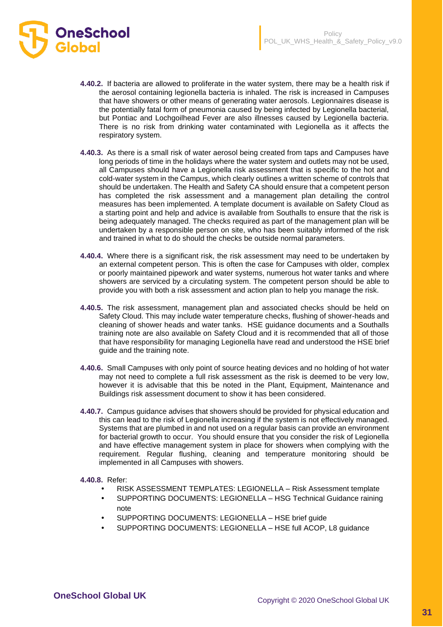# OneSchool

- **4.40.2.** If bacteria are allowed to proliferate in the water system, there may be a health risk if the aerosol containing legionella bacteria is inhaled. The risk is increased in Campuses that have showers or other means of generating water aerosols. Legionnaires disease is the potentially fatal form of pneumonia caused by being infected by Legionella bacterial, but Pontiac and Lochgoilhead Fever are also illnesses caused by Legionella bacteria. There is no risk from drinking water contaminated with Legionella as it affects the respiratory system.
- **4.40.3.** As there is a small risk of water aerosol being created from taps and Campuses have long periods of time in the holidays where the water system and outlets may not be used, all Campuses should have a Legionella risk assessment that is specific to the hot and cold-water system in the Campus, which clearly outlines a written scheme of controls that should be undertaken. The Health and Safety CA should ensure that a competent person has completed the risk assessment and a management plan detailing the control measures has been implemented. A template document is available on Safety Cloud as a starting point and help and advice is available from Southalls to ensure that the risk is being adequately managed. The checks required as part of the management plan will be undertaken by a responsible person on site, who has been suitably informed of the risk and trained in what to do should the checks be outside normal parameters.
- **4.40.4.** Where there is a significant risk, the risk assessment may need to be undertaken by an external competent person. This is often the case for Campuses with older, complex or poorly maintained pipework and water systems, numerous hot water tanks and where showers are serviced by a circulating system. The competent person should be able to provide you with both a risk assessment and action plan to help you manage the risk.
- **4.40.5.** The risk assessment, management plan and associated checks should be held on Safety Cloud. This may include water temperature checks, flushing of shower-heads and cleaning of shower heads and water tanks. HSE guidance documents and a Southalls training note are also available on Safety Cloud and it is recommended that all of those that have responsibility for managing Legionella have read and understood the HSE brief guide and the training note.
- **4.40.6.** Small Campuses with only point of source heating devices and no holding of hot water may not need to complete a full risk assessment as the risk is deemed to be very low, however it is advisable that this be noted in the Plant, Equipment, Maintenance and Buildings risk assessment document to show it has been considered.
- **4.40.7.** Campus guidance advises that showers should be provided for physical education and this can lead to the risk of Legionella increasing if the system is not effectively managed. Systems that are plumbed in and not used on a regular basis can provide an environment for bacterial growth to occur. You should ensure that you consider the risk of Legionella and have effective management system in place for showers when complying with the requirement. Regular flushing, cleaning and temperature monitoring should be implemented in all Campuses with showers.
- **4.40.8.** Refer:
	- RISK ASSESSMENT TEMPLATES: LEGIONELLA Risk Assessment template
	- SUPPORTING DOCUMENTS: LEGIONELLA HSG Technical Guidance raining note
	- SUPPORTING DOCUMENTS: LEGIONELLA HSE brief guide
	- SUPPORTING DOCUMENTS: LEGIONELLA HSE full ACOP, L8 guidance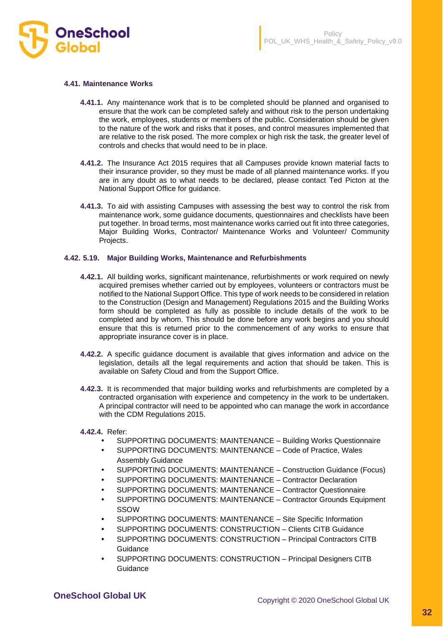

#### <span id="page-31-0"></span>**4.41. Maintenance Works**

- **4.41.1.** Any maintenance work that is to be completed should be planned and organised to ensure that the work can be completed safely and without risk to the person undertaking the work, employees, students or members of the public. Consideration should be given to the nature of the work and risks that it poses, and control measures implemented that are relative to the risk posed. The more complex or high risk the task, the greater level of controls and checks that would need to be in place.
- **4.41.2.** The Insurance Act 2015 requires that all Campuses provide known material facts to their insurance provider, so they must be made of all planned maintenance works. If you are in any doubt as to what needs to be declared, please contact Ted Picton at the National Support Office for guidance.
- **4.41.3.** To aid with assisting Campuses with assessing the best way to control the risk from maintenance work, some guidance documents, questionnaires and checklists have been put together. In broad terms, most maintenance works carried out fit into three categories, Major Building Works, Contractor/ Maintenance Works and Volunteer/ Community Projects.

#### <span id="page-31-1"></span>**4.42. 5.19. Major Building Works, Maintenance and Refurbishments**

- **4.42.1.** All building works, significant maintenance, refurbishments or work required on newly acquired premises whether carried out by employees, volunteers or contractors must be notified to the National Support Office. This type of work needs to be considered in relation to the Construction (Design and Management) Regulations 2015 and the Building Works form should be completed as fully as possible to include details of the work to be completed and by whom. This should be done before any work begins and you should ensure that this is returned prior to the commencement of any works to ensure that appropriate insurance cover is in place.
- **4.42.2.** A specific guidance document is available that gives information and advice on the legislation, details all the legal requirements and action that should be taken. This is available on Safety Cloud and from the Support Office.
- **4.42.3.** It is recommended that major building works and refurbishments are completed by a contracted organisation with experience and competency in the work to be undertaken. A principal contractor will need to be appointed who can manage the work in accordance with the CDM Regulations 2015.

#### **4.42.4.** Refer:

- SUPPORTING DOCUMENTS: MAINTENANCE Building Works Questionnaire
- SUPPORTING DOCUMENTS: MAINTENANCE Code of Practice, Wales Assembly Guidance
- SUPPORTING DOCUMENTS: MAINTENANCE Construction Guidance (Focus)
- SUPPORTING DOCUMENTS: MAINTENANCE Contractor Declaration
- SUPPORTING DOCUMENTS: MAINTENANCE Contractor Questionnaire
- SUPPORTING DOCUMENTS: MAINTENANCE Contractor Grounds Equipment **SSOW**
- SUPPORTING DOCUMENTS: MAINTENANCE Site Specific Information
- SUPPORTING DOCUMENTS: CONSTRUCTION Clients CITB Guidance
- SUPPORTING DOCUMENTS: CONSTRUCTION Principal Contractors CITB Guidance
- SUPPORTING DOCUMENTS: CONSTRUCTION Principal Designers CITB **Guidance**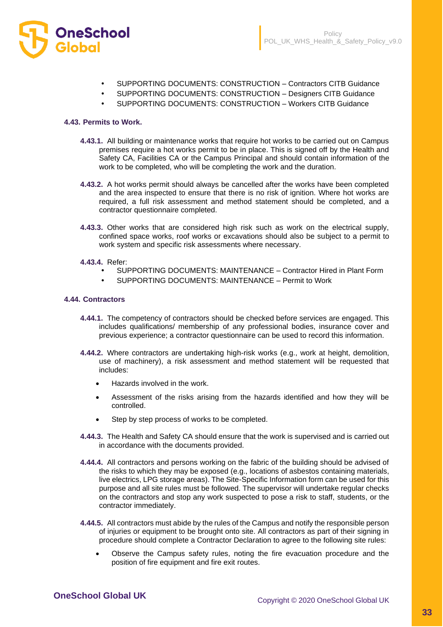

- SUPPORTING DOCUMENTS: CONSTRUCTION Contractors CITB Guidance
- SUPPORTING DOCUMENTS: CONSTRUCTION Designers CITB Guidance
- SUPPORTING DOCUMENTS: CONSTRUCTION Workers CITB Guidance

#### <span id="page-32-0"></span>**4.43. Permits to Work.**

- **4.43.1.** All building or maintenance works that require hot works to be carried out on Campus premises require a hot works permit to be in place. This is signed off by the Health and Safety CA, Facilities CA or the Campus Principal and should contain information of the work to be completed, who will be completing the work and the duration.
- **4.43.2.** A hot works permit should always be cancelled after the works have been completed and the area inspected to ensure that there is no risk of ignition. Where hot works are required, a full risk assessment and method statement should be completed, and a contractor questionnaire completed.
- **4.43.3.** Other works that are considered high risk such as work on the electrical supply, confined space works, roof works or excavations should also be subject to a permit to work system and specific risk assessments where necessary.
- **4.43.4.** Refer:
	- SUPPORTING DOCUMENTS: MAINTENANCE Contractor Hired in Plant Form
	- SUPPORTING DOCUMENTS: MAINTENANCE Permit to Work

#### <span id="page-32-1"></span>**4.44. Contractors**

- **4.44.1.** The competency of contractors should be checked before services are engaged. This includes qualifications/ membership of any professional bodies, insurance cover and previous experience; a contractor questionnaire can be used to record this information.
- **4.44.2.** Where contractors are undertaking high-risk works (e.g., work at height, demolition, use of machinery), a risk assessment and method statement will be requested that includes:
	- Hazards involved in the work.
	- Assessment of the risks arising from the hazards identified and how they will be controlled.
	- Step by step process of works to be completed.
- **4.44.3.** The Health and Safety CA should ensure that the work is supervised and is carried out in accordance with the documents provided.
- **4.44.4.** All contractors and persons working on the fabric of the building should be advised of the risks to which they may be exposed (e.g., locations of asbestos containing materials, live electrics, LPG storage areas). The Site-Specific Information form can be used for this purpose and all site rules must be followed. The supervisor will undertake regular checks on the contractors and stop any work suspected to pose a risk to staff, students, or the contractor immediately.
- **4.44.5.** All contractors must abide by the rules of the Campus and notify the responsible person of injuries or equipment to be brought onto site. All contractors as part of their signing in procedure should complete a Contractor Declaration to agree to the following site rules:
	- Observe the Campus safety rules, noting the fire evacuation procedure and the position of fire equipment and fire exit routes.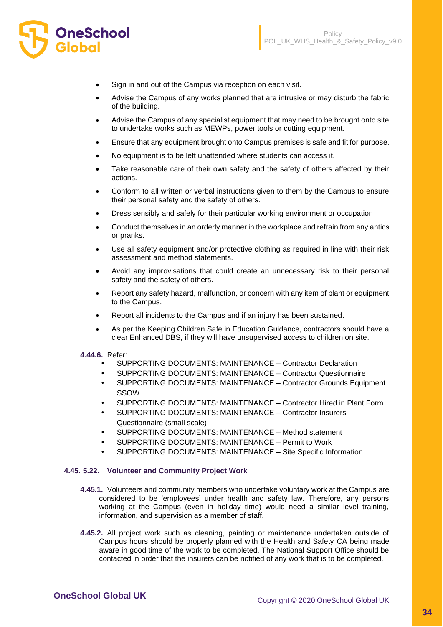- Sign in and out of the Campus via reception on each visit.
- Advise the Campus of any works planned that are intrusive or may disturb the fabric of the building.
- Advise the Campus of any specialist equipment that may need to be brought onto site to undertake works such as MEWPs, power tools or cutting equipment.
- Ensure that any equipment brought onto Campus premises is safe and fit for purpose.
- No equipment is to be left unattended where students can access it.
- Take reasonable care of their own safety and the safety of others affected by their actions.
- Conform to all written or verbal instructions given to them by the Campus to ensure their personal safety and the safety of others.
- Dress sensibly and safely for their particular working environment or occupation
- Conduct themselves in an orderly manner in the workplace and refrain from any antics or pranks.
- Use all safety equipment and/or protective clothing as required in line with their risk assessment and method statements.
- Avoid any improvisations that could create an unnecessary risk to their personal safety and the safety of others.
- Report any safety hazard, malfunction, or concern with any item of plant or equipment to the Campus.
- Report all incidents to the Campus and if an injury has been sustained.
- As per the Keeping Children Safe in Education Guidance, contractors should have a clear Enhanced DBS, if they will have unsupervised access to children on site.

#### **4.44.6.** Refer:

**OneSchool** 

- SUPPORTING DOCUMENTS: MAINTENANCE Contractor Declaration
- SUPPORTING DOCUMENTS: MAINTENANCE Contractor Questionnaire
- SUPPORTING DOCUMENTS: MAINTENANCE Contractor Grounds Equipment SSOW
- SUPPORTING DOCUMENTS: MAINTENANCE Contractor Hired in Plant Form
- SUPPORTING DOCUMENTS: MAINTENANCE Contractor Insurers Questionnaire (small scale)
- SUPPORTING DOCUMENTS: MAINTENANCE Method statement
- SUPPORTING DOCUMENTS: MAINTENANCE Permit to Work
- SUPPORTING DOCUMENTS: MAINTENANCE Site Specific Information

#### <span id="page-33-0"></span>**4.45. 5.22. Volunteer and Community Project Work**

- **4.45.1.** Volunteers and community members who undertake voluntary work at the Campus are considered to be 'employees' under health and safety law. Therefore, any persons working at the Campus (even in holiday time) would need a similar level training, information, and supervision as a member of staff.
- **4.45.2.** All project work such as cleaning, painting or maintenance undertaken outside of Campus hours should be properly planned with the Health and Safety CA being made aware in good time of the work to be completed. The National Support Office should be contacted in order that the insurers can be notified of any work that is to be completed.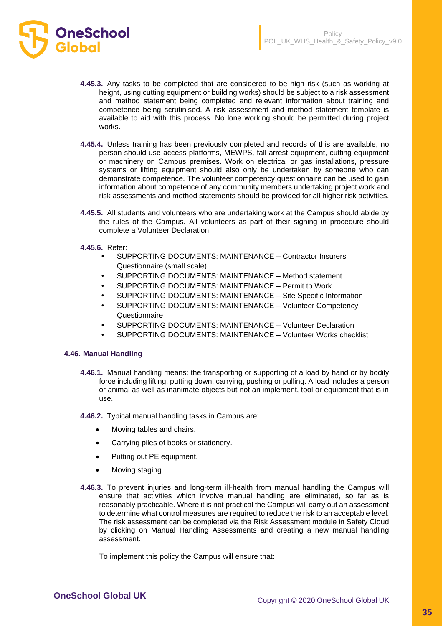- **4.45.3.** Any tasks to be completed that are considered to be high risk (such as working at height, using cutting equipment or building works) should be subject to a risk assessment and method statement being completed and relevant information about training and competence being scrutinised. A risk assessment and method statement template is available to aid with this process. No lone working should be permitted during project works.
- **4.45.4.** Unless training has been previously completed and records of this are available, no person should use access platforms, MEWPS, fall arrest equipment, cutting equipment or machinery on Campus premises. Work on electrical or gas installations, pressure systems or lifting equipment should also only be undertaken by someone who can demonstrate competence. The volunteer competency questionnaire can be used to gain information about competence of any community members undertaking project work and risk assessments and method statements should be provided for all higher risk activities.
- **4.45.5.** All students and volunteers who are undertaking work at the Campus should abide by the rules of the Campus. All volunteers as part of their signing in procedure should complete a Volunteer Declaration.

#### **4.45.6.** Refer:

**OneSchool** 

- SUPPORTING DOCUMENTS: MAINTENANCE Contractor Insurers Questionnaire (small scale)
- SUPPORTING DOCUMENTS: MAINTENANCE Method statement
- SUPPORTING DOCUMENTS: MAINTENANCE Permit to Work
- SUPPORTING DOCUMENTS: MAINTENANCE Site Specific Information
- SUPPORTING DOCUMENTS: MAINTENANCE Volunteer Competency Questionnaire
- SUPPORTING DOCUMENTS: MAINTENANCE Volunteer Declaration
- SUPPORTING DOCUMENTS: MAINTENANCE Volunteer Works checklist

#### <span id="page-34-0"></span>**4.46. Manual Handling**

- **4.46.1.** Manual handling means: the transporting or supporting of a load by hand or by bodily force including lifting, putting down, carrying, pushing or pulling. A load includes a person or animal as well as inanimate objects but not an implement, tool or equipment that is in use.
- **4.46.2.** Typical manual handling tasks in Campus are:
	- Moving tables and chairs.
	- Carrying piles of books or stationery.
	- Putting out PE equipment.
	- Moving staging.
- **4.46.3.** To prevent injuries and long-term ill-health from manual handling the Campus will ensure that activities which involve manual handling are eliminated, so far as is reasonably practicable. Where it is not practical the Campus will carry out an assessment to determine what control measures are required to reduce the risk to an acceptable level. The risk assessment can be completed via the Risk Assessment module in Safety Cloud by clicking on Manual Handling Assessments and creating a new manual handling assessment.

To implement this policy the Campus will ensure that: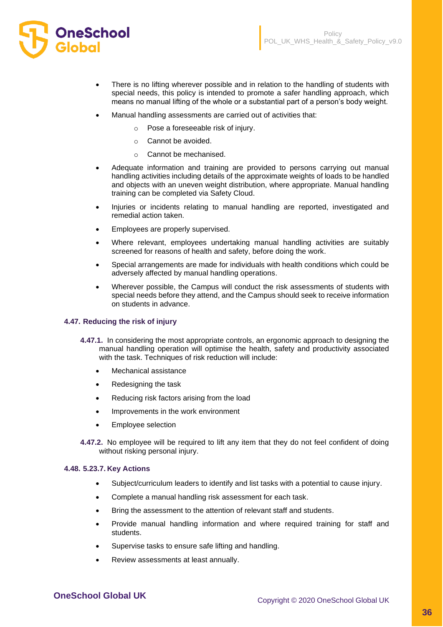

- There is no lifting wherever possible and in relation to the handling of students with special needs, this policy is intended to promote a safer handling approach, which means no manual lifting of the whole or a substantial part of a person's body weight.
- Manual handling assessments are carried out of activities that:
	- o Pose a foreseeable risk of injury.
	- o Cannot be avoided.
	- o Cannot be mechanised.
- Adequate information and training are provided to persons carrying out manual handling activities including details of the approximate weights of loads to be handled and objects with an uneven weight distribution, where appropriate. Manual handling training can be completed via Safety Cloud.
- Injuries or incidents relating to manual handling are reported, investigated and remedial action taken.
- Employees are properly supervised.
- Where relevant, employees undertaking manual handling activities are suitably screened for reasons of health and safety, before doing the work.
- Special arrangements are made for individuals with health conditions which could be adversely affected by manual handling operations.
- Wherever possible, the Campus will conduct the risk assessments of students with special needs before they attend, and the Campus should seek to receive information on students in advance.

#### <span id="page-35-0"></span>**4.47. Reducing the risk of injury**

- **4.47.1.** In considering the most appropriate controls, an ergonomic approach to designing the manual handling operation will optimise the health, safety and productivity associated with the task. Techniques of risk reduction will include:
	- Mechanical assistance
	- Redesigning the task
	- Reducing risk factors arising from the load
	- Improvements in the work environment
	- Employee selection
- **4.47.2.** No employee will be required to lift any item that they do not feel confident of doing without risking personal injury.

#### <span id="page-35-1"></span>**4.48. 5.23.7. Key Actions**

- Subject/curriculum leaders to identify and list tasks with a potential to cause injury.
- Complete a manual handling risk assessment for each task.
- Bring the assessment to the attention of relevant staff and students.
- Provide manual handling information and where required training for staff and students.
- Supervise tasks to ensure safe lifting and handling.
- Review assessments at least annually.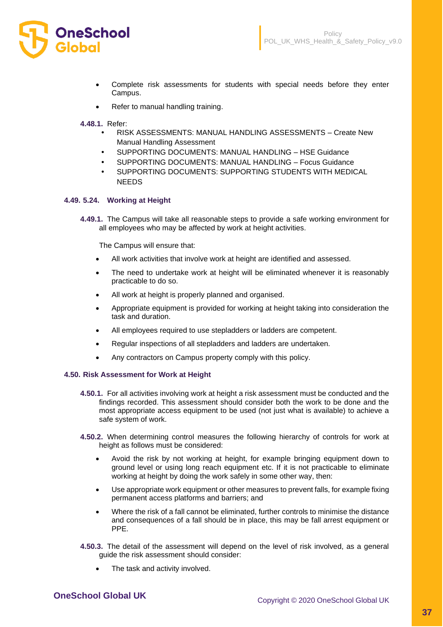

- Complete risk assessments for students with special needs before they enter Campus.
- Refer to manual handling training.

#### **4.48.1.** Refer:

- RISK ASSESSMENTS: MANUAL HANDLING ASSESSMENTS Create New Manual Handling Assessment
- SUPPORTING DOCUMENTS: MANUAL HANDLING HSE Guidance
- SUPPORTING DOCUMENTS: MANUAL HANDLING Focus Guidance
- SUPPORTING DOCUMENTS: SUPPORTING STUDENTS WITH MEDICAL NEEDS

#### <span id="page-36-0"></span>**4.49. 5.24. Working at Height**

**4.49.1.** The Campus will take all reasonable steps to provide a safe working environment for all employees who may be affected by work at height activities.

The Campus will ensure that:

- All work activities that involve work at height are identified and assessed.
- The need to undertake work at height will be eliminated whenever it is reasonably practicable to do so.
- All work at height is properly planned and organised.
- Appropriate equipment is provided for working at height taking into consideration the task and duration.
- All employees required to use stepladders or ladders are competent.
- Regular inspections of all stepladders and ladders are undertaken.
- Any contractors on Campus property comply with this policy.

#### <span id="page-36-1"></span>**4.50. Risk Assessment for Work at Height**

- **4.50.1.** For all activities involving work at height a risk assessment must be conducted and the findings recorded. This assessment should consider both the work to be done and the most appropriate access equipment to be used (not just what is available) to achieve a safe system of work.
- **4.50.2.** When determining control measures the following hierarchy of controls for work at height as follows must be considered:
	- Avoid the risk by not working at height, for example bringing equipment down to ground level or using long reach equipment etc. If it is not practicable to eliminate working at height by doing the work safely in some other way, then:
	- Use appropriate work equipment or other measures to prevent falls, for example fixing permanent access platforms and barriers; and
	- Where the risk of a fall cannot be eliminated, further controls to minimise the distance and consequences of a fall should be in place, this may be fall arrest equipment or PPE.
- **4.50.3.** The detail of the assessment will depend on the level of risk involved, as a general guide the risk assessment should consider:
	- The task and activity involved.

#### **OneSchool Global UK**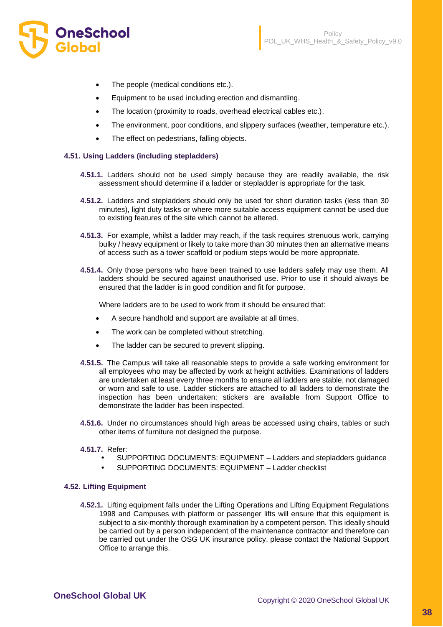

- The people (medical conditions etc.).
- Equipment to be used including erection and dismantling.
- The location (proximity to roads, overhead electrical cables etc.).
- The environment, poor conditions, and slippery surfaces (weather, temperature etc.).
- The effect on pedestrians, falling objects.

#### <span id="page-37-0"></span>**4.51. Using Ladders (including stepladders)**

- **4.51.1.** Ladders should not be used simply because they are readily available, the risk assessment should determine if a ladder or stepladder is appropriate for the task.
- **4.51.2.** Ladders and stepladders should only be used for short duration tasks (less than 30 minutes), light duty tasks or where more suitable access equipment cannot be used due to existing features of the site which cannot be altered.
- **4.51.3.** For example, whilst a ladder may reach, if the task requires strenuous work, carrying bulky / heavy equipment or likely to take more than 30 minutes then an alternative means of access such as a tower scaffold or podium steps would be more appropriate.
- **4.51.4.** Only those persons who have been trained to use ladders safely may use them. All ladders should be secured against unauthorised use. Prior to use it should always be ensured that the ladder is in good condition and fit for purpose.

Where ladders are to be used to work from it should be ensured that:

- A secure handhold and support are available at all times.
- The work can be completed without stretching.
- The ladder can be secured to prevent slipping.
- **4.51.5.** The Campus will take all reasonable steps to provide a safe working environment for all employees who may be affected by work at height activities. Examinations of ladders are undertaken at least every three months to ensure all ladders are stable, not damaged or worn and safe to use. Ladder stickers are attached to all ladders to demonstrate the inspection has been undertaken; stickers are available from Support Office to demonstrate the ladder has been inspected.
- **4.51.6.** Under no circumstances should high areas be accessed using chairs, tables or such other items of furniture not designed the purpose.
- **4.51.7.** Refer:
	- SUPPORTING DOCUMENTS: EQUIPMENT Ladders and stepladders guidance
	- SUPPORTING DOCUMENTS: EQUIPMENT Ladder checklist

#### <span id="page-37-1"></span>**4.52. Lifting Equipment**

**4.52.1.** Lifting equipment falls under the Lifting Operations and Lifting Equipment Regulations 1998 and Campuses with platform or passenger lifts will ensure that this equipment is subject to a six-monthly thorough examination by a competent person. This ideally should be carried out by a person independent of the maintenance contractor and therefore can be carried out under the OSG UK insurance policy, please contact the National Support Office to arrange this.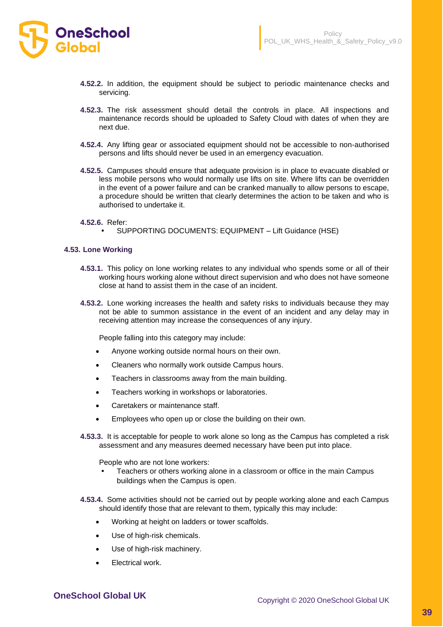- **4.52.2.** In addition, the equipment should be subject to periodic maintenance checks and servicing.
- **4.52.3.** The risk assessment should detail the controls in place. All inspections and maintenance records should be uploaded to Safety Cloud with dates of when they are next due.
- **4.52.4.** Any lifting gear or associated equipment should not be accessible to non-authorised persons and lifts should never be used in an emergency evacuation.
- **4.52.5.** Campuses should ensure that adequate provision is in place to evacuate disabled or less mobile persons who would normally use lifts on site. Where lifts can be overridden in the event of a power failure and can be cranked manually to allow persons to escape, a procedure should be written that clearly determines the action to be taken and who is authorised to undertake it.
- **4.52.6.** Refer:

**OneSchool** 

SUPPORTING DOCUMENTS: EQUIPMENT – Lift Guidance (HSE)

#### <span id="page-38-0"></span>**4.53. Lone Working**

- **4.53.1.** This policy on lone working relates to any individual who spends some or all of their working hours working alone without direct supervision and who does not have someone close at hand to assist them in the case of an incident.
- **4.53.2.** Lone working increases the health and safety risks to individuals because they may not be able to summon assistance in the event of an incident and any delay may in receiving attention may increase the consequences of any injury.

People falling into this category may include:

- Anyone working outside normal hours on their own.
- Cleaners who normally work outside Campus hours.
- Teachers in classrooms away from the main building.
- Teachers working in workshops or laboratories.
- Caretakers or maintenance staff.
- Employees who open up or close the building on their own.
- **4.53.3.** It is acceptable for people to work alone so long as the Campus has completed a risk assessment and any measures deemed necessary have been put into place.

People who are not lone workers:

- Teachers or others working alone in a classroom or office in the main Campus buildings when the Campus is open.
- **4.53.4.** Some activities should not be carried out by people working alone and each Campus should identify those that are relevant to them, typically this may include:
	- Working at height on ladders or tower scaffolds.
	- Use of high-risk chemicals.
	- Use of high-risk machinery.
	- Electrical work.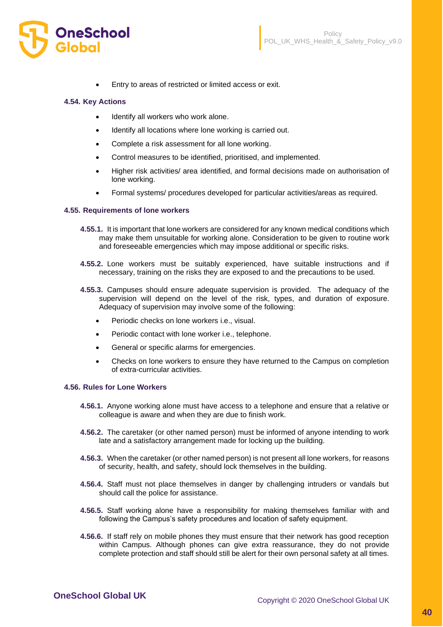

• Entry to areas of restricted or limited access or exit.

#### <span id="page-39-0"></span>**4.54. Key Actions**

- Identify all workers who work alone.
- Identify all locations where lone working is carried out.
- Complete a risk assessment for all lone working.
- Control measures to be identified, prioritised, and implemented.
- Higher risk activities/ area identified, and formal decisions made on authorisation of lone working.
- Formal systems/ procedures developed for particular activities/areas as required.

#### <span id="page-39-1"></span>**4.55. Requirements of lone workers**

- **4.55.1.** It is important that lone workers are considered for any known medical conditions which may make them unsuitable for working alone. Consideration to be given to routine work and foreseeable emergencies which may impose additional or specific risks.
- **4.55.2.** Lone workers must be suitably experienced, have suitable instructions and if necessary, training on the risks they are exposed to and the precautions to be used.
- **4.55.3.** Campuses should ensure adequate supervision is provided. The adequacy of the supervision will depend on the level of the risk, types, and duration of exposure. Adequacy of supervision may involve some of the following:
	- Periodic checks on lone workers i.e., visual.
	- Periodic contact with lone worker i.e., telephone.
	- General or specific alarms for emergencies.
	- Checks on lone workers to ensure they have returned to the Campus on completion of extra-curricular activities.

#### <span id="page-39-2"></span>**4.56. Rules for Lone Workers**

- **4.56.1.** Anyone working alone must have access to a telephone and ensure that a relative or colleague is aware and when they are due to finish work.
- **4.56.2.** The caretaker (or other named person) must be informed of anyone intending to work late and a satisfactory arrangement made for locking up the building.
- **4.56.3.** When the caretaker (or other named person) is not present all lone workers, for reasons of security, health, and safety, should lock themselves in the building.
- **4.56.4.** Staff must not place themselves in danger by challenging intruders or vandals but should call the police for assistance.
- **4.56.5.** Staff working alone have a responsibility for making themselves familiar with and following the Campus's safety procedures and location of safety equipment.
- **4.56.6.** If staff rely on mobile phones they must ensure that their network has good reception within Campus. Although phones can give extra reassurance, they do not provide complete protection and staff should still be alert for their own personal safety at all times.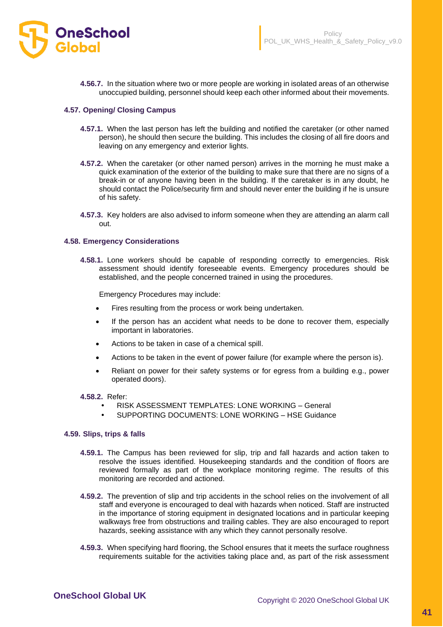

**4.56.7.** In the situation where two or more people are working in isolated areas of an otherwise unoccupied building, personnel should keep each other informed about their movements.

#### <span id="page-40-0"></span>**4.57. Opening/ Closing Campus**

- **4.57.1.** When the last person has left the building and notified the caretaker (or other named person), he should then secure the building. This includes the closing of all fire doors and leaving on any emergency and exterior lights.
- **4.57.2.** When the caretaker (or other named person) arrives in the morning he must make a quick examination of the exterior of the building to make sure that there are no signs of a break-in or of anyone having been in the building. If the caretaker is in any doubt, he should contact the Police/security firm and should never enter the building if he is unsure of his safety.
- **4.57.3.** Key holders are also advised to inform someone when they are attending an alarm call out.

#### <span id="page-40-1"></span>**4.58. Emergency Considerations**

**4.58.1.** Lone workers should be capable of responding correctly to emergencies. Risk assessment should identify foreseeable events. Emergency procedures should be established, and the people concerned trained in using the procedures.

Emergency Procedures may include:

- Fires resulting from the process or work being undertaken.
- If the person has an accident what needs to be done to recover them, especially important in laboratories.
- Actions to be taken in case of a chemical spill.
- Actions to be taken in the event of power failure (for example where the person is).
- Reliant on power for their safety systems or for egress from a building e.g., power operated doors).

#### **4.58.2.** Refer:

- RISK ASSESSMENT TEMPLATES: LONE WORKING General
- SUPPORTING DOCUMENTS: LONE WORKING HSE Guidance

#### <span id="page-40-2"></span>**4.59. Slips, trips & falls**

- **4.59.1.** The Campus has been reviewed for slip, trip and fall hazards and action taken to resolve the issues identified. Housekeeping standards and the condition of floors are reviewed formally as part of the workplace monitoring regime. The results of this monitoring are recorded and actioned.
- **4.59.2.** The prevention of slip and trip accidents in the school relies on the involvement of all staff and everyone is encouraged to deal with hazards when noticed. Staff are instructed in the importance of storing equipment in designated locations and in particular keeping walkways free from obstructions and trailing cables. They are also encouraged to report hazards, seeking assistance with any which they cannot personally resolve.
- **4.59.3.** When specifying hard flooring, the School ensures that it meets the surface roughness requirements suitable for the activities taking place and, as part of the risk assessment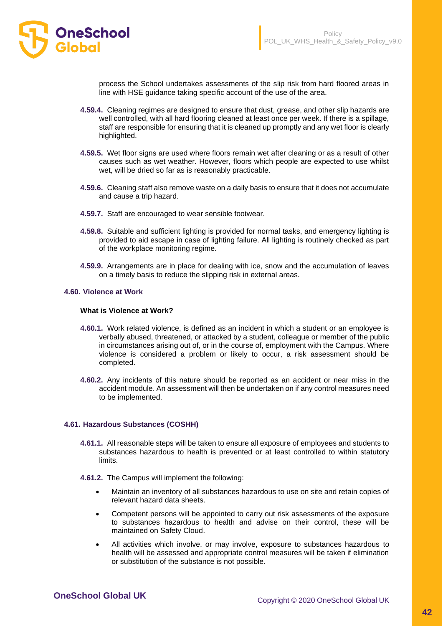

process the School undertakes assessments of the slip risk from hard floored areas in line with HSE guidance taking specific account of the use of the area.

- **4.59.4.** Cleaning regimes are designed to ensure that dust, grease, and other slip hazards are well controlled, with all hard flooring cleaned at least once per week. If there is a spillage, staff are responsible for ensuring that it is cleaned up promptly and any wet floor is clearly highlighted.
- **4.59.5.** Wet floor signs are used where floors remain wet after cleaning or as a result of other causes such as wet weather. However, floors which people are expected to use whilst wet, will be dried so far as is reasonably practicable.
- **4.59.6.** Cleaning staff also remove waste on a daily basis to ensure that it does not accumulate and cause a trip hazard.
- **4.59.7.** Staff are encouraged to wear sensible footwear.
- **4.59.8.** Suitable and sufficient lighting is provided for normal tasks, and emergency lighting is provided to aid escape in case of lighting failure. All lighting is routinely checked as part of the workplace monitoring regime.
- **4.59.9.** Arrangements are in place for dealing with ice, snow and the accumulation of leaves on a timely basis to reduce the slipping risk in external areas.

#### <span id="page-41-0"></span>**4.60. Violence at Work**

#### **What is Violence at Work?**

- **4.60.1.** Work related violence, is defined as an incident in which a student or an employee is verbally abused, threatened, or attacked by a student, colleague or member of the public in circumstances arising out of, or in the course of, employment with the Campus. Where violence is considered a problem or likely to occur, a risk assessment should be completed.
- **4.60.2.** Any incidents of this nature should be reported as an accident or near miss in the accident module. An assessment will then be undertaken on if any control measures need to be implemented.

#### <span id="page-41-1"></span>**4.61. Hazardous Substances (COSHH)**

- **4.61.1.** All reasonable steps will be taken to ensure all exposure of employees and students to substances hazardous to health is prevented or at least controlled to within statutory limits.
- **4.61.2.** The Campus will implement the following:
	- Maintain an inventory of all substances hazardous to use on site and retain copies of relevant hazard data sheets.
	- Competent persons will be appointed to carry out risk assessments of the exposure to substances hazardous to health and advise on their control, these will be maintained on Safety Cloud.
	- All activities which involve, or may involve, exposure to substances hazardous to health will be assessed and appropriate control measures will be taken if elimination or substitution of the substance is not possible.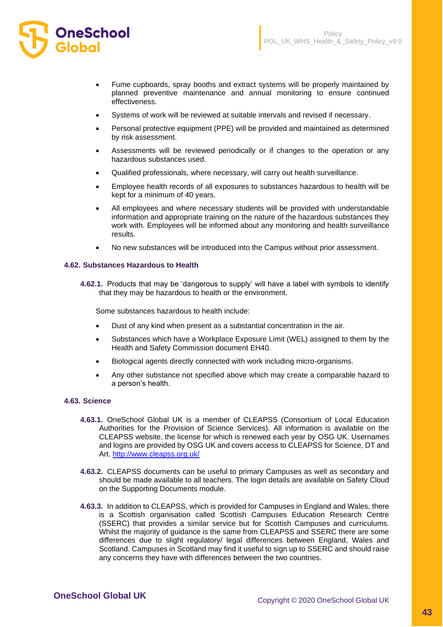

- Fume cupboards, spray booths and extract systems will be properly maintained by planned preventive maintenance and annual monitoring to ensure continued effectiveness.
- Systems of work will be reviewed at suitable intervals and revised if necessary.
- Personal protective equipment (PPE) will be provided and maintained as determined by risk assessment.
- Assessments will be reviewed periodically or if changes to the operation or any hazardous substances used.
- Qualified professionals, where necessary, will carry out health surveillance.
- Employee health records of all exposures to substances hazardous to health will be kept for a minimum of 40 years.
- All employees and where necessary students will be provided with understandable information and appropriate training on the nature of the hazardous substances they work with. Employees will be informed about any monitoring and health surveillance results.
- No new substances will be introduced into the Campus without prior assessment.

#### <span id="page-42-0"></span>**4.62. Substances Hazardous to Health**

**4.62.1.** Products that may be 'dangerous to supply' will have a label with symbols to identify that they may be hazardous to health or the environment.

Some substances hazardous to health include:

- Dust of any kind when present as a substantial concentration in the air.
- Substances which have a Workplace Exposure Limit (WEL) assigned to them by the Health and Safety Commission document EH40.
- Biological agents directly connected with work including micro-organisms.
- Any other substance not specified above which may create a comparable hazard to a person's health.

#### <span id="page-42-1"></span>**4.63. Science**

- **4.63.1.** OneSchool Global UK is a member of CLEAPSS (Consortium of Local Education Authorities for the Provision of Science Services). All information is available on the CLEAPSS website, the license for which is renewed each year by OSG UK. Usernames and logins are provided by OSG UK and covers access to CLEAPSS for Science, DT and Art.<http://www.cleapss.org.uk/>
- **4.63.2.** CLEAPSS documents can be useful to primary Campuses as well as secondary and should be made available to all teachers. The login details are available on Safety Cloud on the Supporting Documents module.
- **4.63.3.** In addition to CLEAPSS, which is provided for Campuses in England and Wales, there is a Scottish organisation called Scottish Campuses Education Research Centre (SSERC) that provides a similar service but for Scottish Campuses and curriculums. Whilst the majority of guidance is the same from CLEAPSS and SSERC there are some differences due to slight regulatory/ legal differences between England, Wales and Scotland. Campuses in Scotland may find it useful to sign up to SSERC and should raise any concerns they have with differences between the two countries.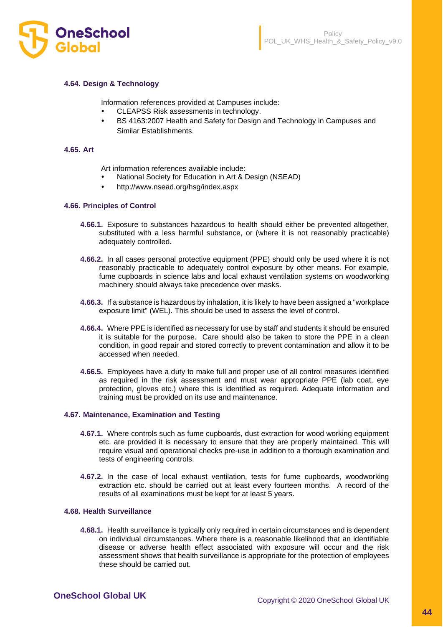

#### <span id="page-43-0"></span>**4.64. Design & Technology**

Information references provided at Campuses include:

- CLEAPSS Risk assessments in technology.
- BS 4163:2007 Health and Safety for Design and Technology in Campuses and Similar Establishments.

#### <span id="page-43-1"></span>**4.65. Art**

Art information references available include:

- National Society for Education in Art & Design (NSEAD)
- <http://www.nsead.org/hsg/index.aspx>

#### <span id="page-43-2"></span>**4.66. Principles of Control**

- **4.66.1.** Exposure to substances hazardous to health should either be prevented altogether, substituted with a less harmful substance, or (where it is not reasonably practicable) adequately controlled.
- **4.66.2.** In all cases personal protective equipment (PPE) should only be used where it is not reasonably practicable to adequately control exposure by other means. For example, fume cupboards in science labs and local exhaust ventilation systems on woodworking machinery should always take precedence over masks.
- **4.66.3.** If a substance is hazardous by inhalation, it is likely to have been assigned a "workplace exposure limit" (WEL). This should be used to assess the level of control.
- **4.66.4.** Where PPE is identified as necessary for use by staff and students it should be ensured it is suitable for the purpose. Care should also be taken to store the PPE in a clean condition, in good repair and stored correctly to prevent contamination and allow it to be accessed when needed.
- **4.66.5.** Employees have a duty to make full and proper use of all control measures identified as required in the risk assessment and must wear appropriate PPE (lab coat, eye protection, gloves etc.) where this is identified as required. Adequate information and training must be provided on its use and maintenance.

#### <span id="page-43-3"></span>**4.67. Maintenance, Examination and Testing**

- **4.67.1.** Where controls such as fume cupboards, dust extraction for wood working equipment etc. are provided it is necessary to ensure that they are properly maintained. This will require visual and operational checks pre-use in addition to a thorough examination and tests of engineering controls.
- **4.67.2.** In the case of local exhaust ventilation, tests for fume cupboards, woodworking extraction etc. should be carried out at least every fourteen months. A record of the results of all examinations must be kept for at least 5 years.

#### <span id="page-43-4"></span>**4.68. Health Surveillance**

**4.68.1.** Health surveillance is typically only required in certain circumstances and is dependent on individual circumstances. Where there is a reasonable likelihood that an identifiable disease or adverse health effect associated with exposure will occur and the risk assessment shows that health surveillance is appropriate for the protection of employees these should be carried out.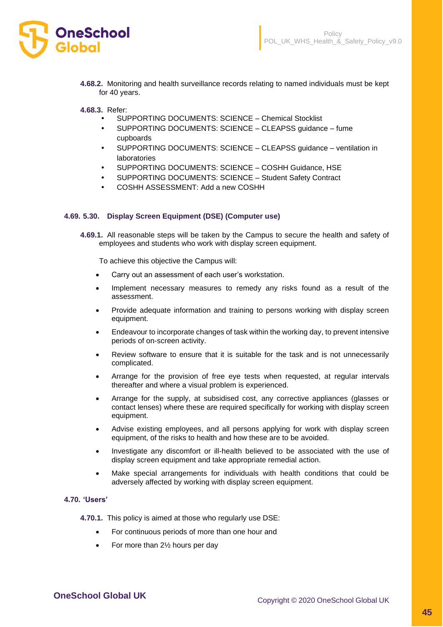

**4.68.2.** Monitoring and health surveillance records relating to named individuals must be kept for 40 years.

#### **4.68.3.** Refer:

- SUPPORTING DOCUMENTS: SCIENCE Chemical Stocklist
- SUPPORTING DOCUMENTS: SCIENCE CLEAPSS guidance fume cupboards
- SUPPORTING DOCUMENTS: SCIENCE CLEAPSS guidance ventilation in laboratories
- SUPPORTING DOCUMENTS: SCIENCE COSHH Guidance, HSE
- SUPPORTING DOCUMENTS: SCIENCE Student Safety Contract
- COSHH ASSESSMENT: Add a new COSHH

#### <span id="page-44-0"></span>**4.69. 5.30. Display Screen Equipment (DSE) (Computer use)**

**4.69.1.** All reasonable steps will be taken by the Campus to secure the health and safety of employees and students who work with display screen equipment.

To achieve this objective the Campus will:

- Carry out an assessment of each user's workstation.
- Implement necessary measures to remedy any risks found as a result of the assessment.
- Provide adequate information and training to persons working with display screen equipment.
- Endeavour to incorporate changes of task within the working day, to prevent intensive periods of on-screen activity.
- Review software to ensure that it is suitable for the task and is not unnecessarily complicated.
- Arrange for the provision of free eye tests when requested, at regular intervals thereafter and where a visual problem is experienced.
- Arrange for the supply, at subsidised cost, any corrective appliances (glasses or contact lenses) where these are required specifically for working with display screen equipment.
- Advise existing employees, and all persons applying for work with display screen equipment, of the risks to health and how these are to be avoided.
- Investigate any discomfort or ill-health believed to be associated with the use of display screen equipment and take appropriate remedial action.
- Make special arrangements for individuals with health conditions that could be adversely affected by working with display screen equipment.

#### <span id="page-44-1"></span>**4.70. 'Users'**

**4.70.1.** This policy is aimed at those who regularly use DSE:

- For continuous periods of more than one hour and
- For more than 2½ hours per day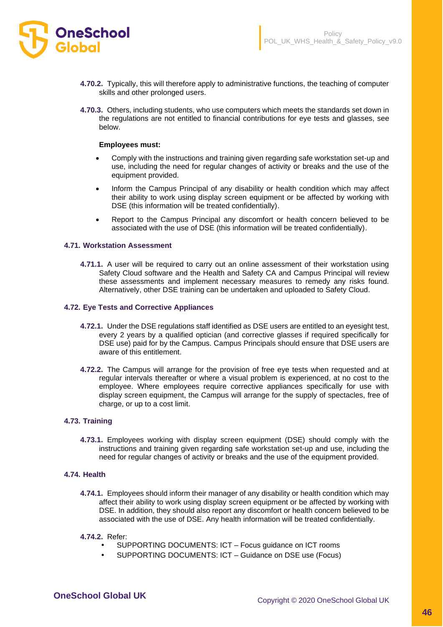

- **4.70.2.** Typically, this will therefore apply to administrative functions, the teaching of computer skills and other prolonged users.
- **4.70.3.** Others, including students, who use computers which meets the standards set down in the regulations are not entitled to financial contributions for eye tests and glasses, see below.

#### **Employees must:**

- Comply with the instructions and training given regarding safe workstation set-up and use, including the need for regular changes of activity or breaks and the use of the equipment provided.
- Inform the Campus Principal of any disability or health condition which may affect their ability to work using display screen equipment or be affected by working with DSE (this information will be treated confidentially).
- Report to the Campus Principal any discomfort or health concern believed to be associated with the use of DSE (this information will be treated confidentially).

#### <span id="page-45-0"></span>**4.71. Workstation Assessment**

**4.71.1.** A user will be required to carry out an online assessment of their workstation using Safety Cloud software and the Health and Safety CA and Campus Principal will review these assessments and implement necessary measures to remedy any risks found. Alternatively, other DSE training can be undertaken and uploaded to Safety Cloud.

#### <span id="page-45-1"></span>**4.72. Eye Tests and Corrective Appliances**

- **4.72.1.** Under the DSE regulations staff identified as DSE users are entitled to an eyesight test, every 2 years by a qualified optician (and corrective glasses if required specifically for DSE use) paid for by the Campus. Campus Principals should ensure that DSE users are aware of this entitlement.
- **4.72.2.** The Campus will arrange for the provision of free eye tests when requested and at regular intervals thereafter or where a visual problem is experienced, at no cost to the employee. Where employees require corrective appliances specifically for use with display screen equipment, the Campus will arrange for the supply of spectacles, free of charge, or up to a cost limit.

#### <span id="page-45-2"></span>**4.73. Training**

**4.73.1.** Employees working with display screen equipment (DSE) should comply with the instructions and training given regarding safe workstation set-up and use, including the need for regular changes of activity or breaks and the use of the equipment provided.

#### <span id="page-45-3"></span>**4.74. Health**

**4.74.1.** Employees should inform their manager of any disability or health condition which may affect their ability to work using display screen equipment or be affected by working with DSE. In addition, they should also report any discomfort or health concern believed to be associated with the use of DSE. Any health information will be treated confidentially.

#### **4.74.2.** Refer:

- SUPPORTING DOCUMENTS: ICT Focus guidance on ICT rooms
- SUPPORTING DOCUMENTS: ICT Guidance on DSE use (Focus)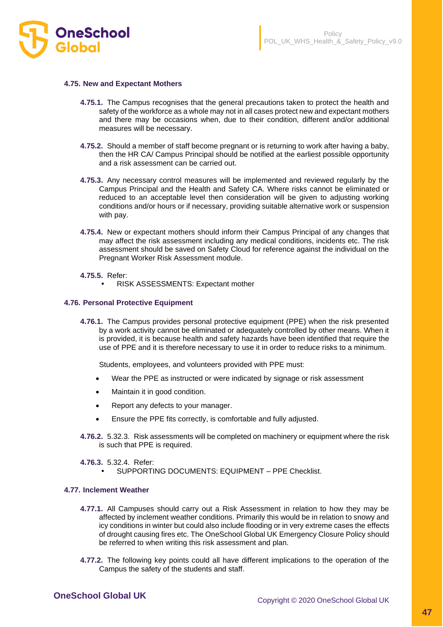

#### <span id="page-46-0"></span>**4.75. New and Expectant Mothers**

- **4.75.1.** The Campus recognises that the general precautions taken to protect the health and safety of the workforce as a whole may not in all cases protect new and expectant mothers and there may be occasions when, due to their condition, different and/or additional measures will be necessary.
- **4.75.2.** Should a member of staff become pregnant or is returning to work after having a baby, then the HR CA/ Campus Principal should be notified at the earliest possible opportunity and a risk assessment can be carried out.
- **4.75.3.** Any necessary control measures will be implemented and reviewed regularly by the Campus Principal and the Health and Safety CA. Where risks cannot be eliminated or reduced to an acceptable level then consideration will be given to adjusting working conditions and/or hours or if necessary, providing suitable alternative work or suspension with pay.
- **4.75.4.** New or expectant mothers should inform their Campus Principal of any changes that may affect the risk assessment including any medical conditions, incidents etc. The risk assessment should be saved on Safety Cloud for reference against the individual on the Pregnant Worker Risk Assessment module.
- **4.75.5.** Refer:
	- RISK ASSESSMENTS: Expectant mother

#### <span id="page-46-1"></span>**4.76. Personal Protective Equipment**

**4.76.1.** The Campus provides personal protective equipment (PPE) when the risk presented by a work activity cannot be eliminated or adequately controlled by other means. When it is provided, it is because health and safety hazards have been identified that require the use of PPE and it is therefore necessary to use it in order to reduce risks to a minimum.

Students, employees, and volunteers provided with PPE must:

- Wear the PPE as instructed or were indicated by signage or risk assessment
- Maintain it in good condition.
- Report any defects to your manager.
- Ensure the PPE fits correctly, is comfortable and fully adjusted.
- **4.76.2.** 5.32.3. Risk assessments will be completed on machinery or equipment where the risk is such that PPE is required.

**4.76.3.** 5.32.4. Refer:

SUPPORTING DOCUMENTS: EQUIPMENT – PPE Checklist.

#### <span id="page-46-2"></span>**4.77. Inclement Weather**

- **4.77.1.** All Campuses should carry out a Risk Assessment in relation to how they may be affected by inclement weather conditions. Primarily this would be in relation to snowy and icy conditions in winter but could also include flooding or in very extreme cases the effects of drought causing fires etc. The OneSchool Global UK Emergency Closure Policy should be referred to when writing this risk assessment and plan.
- **4.77.2.** The following key points could all have different implications to the operation of the Campus the safety of the students and staff.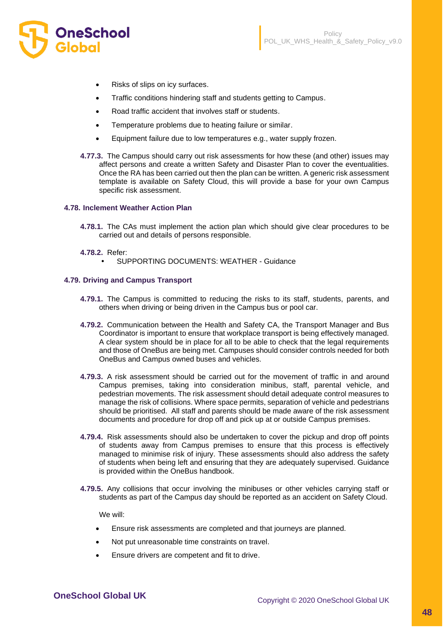

- Risks of slips on icy surfaces.
- Traffic conditions hindering staff and students getting to Campus.
- Road traffic accident that involves staff or students.
- Temperature problems due to heating failure or similar.
- Equipment failure due to low temperatures e.g., water supply frozen.
- **4.77.3.** The Campus should carry out risk assessments for how these (and other) issues may affect persons and create a written Safety and Disaster Plan to cover the eventualities. Once the RA has been carried out then the plan can be written. A generic risk assessment template is available on Safety Cloud, this will provide a base for your own Campus specific risk assessment.

#### <span id="page-47-0"></span>**4.78. Inclement Weather Action Plan**

- **4.78.1.** The CAs must implement the action plan which should give clear procedures to be carried out and details of persons responsible.
- **4.78.2.** Refer:
	- SUPPORTING DOCUMENTS: WEATHER Guidance

#### <span id="page-47-1"></span>**4.79. Driving and Campus Transport**

- **4.79.1.** The Campus is committed to reducing the risks to its staff, students, parents, and others when driving or being driven in the Campus bus or pool car.
- **4.79.2.** Communication between the Health and Safety CA, the Transport Manager and Bus Coordinator is important to ensure that workplace transport is being effectively managed. A clear system should be in place for all to be able to check that the legal requirements and those of OneBus are being met. Campuses should consider controls needed for both OneBus and Campus owned buses and vehicles.
- **4.79.3.** A risk assessment should be carried out for the movement of traffic in and around Campus premises, taking into consideration minibus, staff, parental vehicle, and pedestrian movements. The risk assessment should detail adequate control measures to manage the risk of collisions. Where space permits, separation of vehicle and pedestrians should be prioritised. All staff and parents should be made aware of the risk assessment documents and procedure for drop off and pick up at or outside Campus premises.
- **4.79.4.** Risk assessments should also be undertaken to cover the pickup and drop off points of students away from Campus premises to ensure that this process is effectively managed to minimise risk of injury. These assessments should also address the safety of students when being left and ensuring that they are adequately supervised. Guidance is provided within the OneBus handbook.
- **4.79.5.** Any collisions that occur involving the minibuses or other vehicles carrying staff or students as part of the Campus day should be reported as an accident on Safety Cloud.

We will:

- Ensure risk assessments are completed and that journeys are planned.
- Not put unreasonable time constraints on travel.
- Ensure drivers are competent and fit to drive.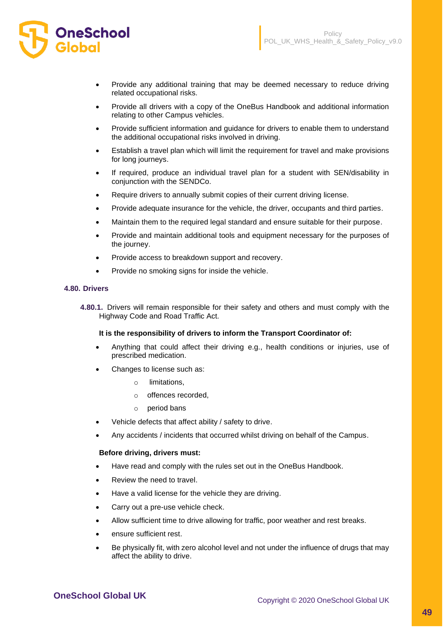

- Provide any additional training that may be deemed necessary to reduce driving related occupational risks.
- Provide all drivers with a copy of the OneBus Handbook and additional information relating to other Campus vehicles.
- Provide sufficient information and guidance for drivers to enable them to understand the additional occupational risks involved in driving.
- Establish a travel plan which will limit the requirement for travel and make provisions for long journeys.
- If required, produce an individual travel plan for a student with SEN/disability in conjunction with the SENDCo.
- Require drivers to annually submit copies of their current driving license.
- Provide adequate insurance for the vehicle, the driver, occupants and third parties.
- Maintain them to the required legal standard and ensure suitable for their purpose.
- Provide and maintain additional tools and equipment necessary for the purposes of the journey.
- Provide access to breakdown support and recovery.
- Provide no smoking signs for inside the vehicle.

#### <span id="page-48-0"></span>**4.80. Drivers**

**4.80.1.** Drivers will remain responsible for their safety and others and must comply with the Highway Code and Road Traffic Act.

#### **It is the responsibility of drivers to inform the Transport Coordinator of:**

- Anything that could affect their driving e.g., health conditions or injuries, use of prescribed medication.
- Changes to license such as:
	- o limitations,
	- o offences recorded,
	- o period bans
- Vehicle defects that affect ability / safety to drive.
- Any accidents / incidents that occurred whilst driving on behalf of the Campus.

#### **Before driving, drivers must:**

- Have read and comply with the rules set out in the OneBus Handbook.
- Review the need to travel.
- Have a valid license for the vehicle they are driving.
- Carry out a pre-use vehicle check.
- Allow sufficient time to drive allowing for traffic, poor weather and rest breaks.
- ensure sufficient rest.
- Be physically fit, with zero alcohol level and not under the influence of drugs that may affect the ability to drive.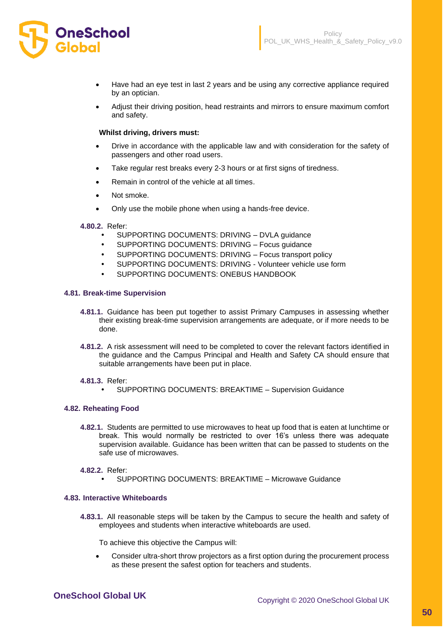

- Have had an eye test in last 2 years and be using any corrective appliance required by an optician.
- Adjust their driving position, head restraints and mirrors to ensure maximum comfort and safety.

#### **Whilst driving, drivers must:**

- Drive in accordance with the applicable law and with consideration for the safety of passengers and other road users.
- Take regular rest breaks every 2-3 hours or at first signs of tiredness.
- Remain in control of the vehicle at all times.
- Not smoke.
- Only use the mobile phone when using a hands-free device.

#### **4.80.2.** Refer:

- SUPPORTING DOCUMENTS: DRIVING DVLA guidance
- SUPPORTING DOCUMENTS: DRIVING Focus guidance
- SUPPORTING DOCUMENTS: DRIVING Focus transport policy
- SUPPORTING DOCUMENTS: DRIVING Volunteer vehicle use form
- SUPPORTING DOCUMENTS: ONEBUS HANDBOOK

#### <span id="page-49-0"></span>**4.81. Break-time Supervision**

- **4.81.1.** Guidance has been put together to assist Primary Campuses in assessing whether their existing break-time supervision arrangements are adequate, or if more needs to be done.
- **4.81.2.** A risk assessment will need to be completed to cover the relevant factors identified in the guidance and the Campus Principal and Health and Safety CA should ensure that suitable arrangements have been put in place.

#### **4.81.3.** Refer:

SUPPORTING DOCUMENTS: BREAKTIME – Supervision Guidance

#### <span id="page-49-1"></span>**4.82. Reheating Food**

**4.82.1.** Students are permitted to use microwaves to heat up food that is eaten at lunchtime or break. This would normally be restricted to over 16's unless there was adequate supervision available. Guidance has been written that can be passed to students on the safe use of microwaves.

#### **4.82.2.** Refer:

SUPPORTING DOCUMENTS: BREAKTIME – Microwave Guidance

#### <span id="page-49-2"></span>**4.83. Interactive Whiteboards**

**4.83.1.** All reasonable steps will be taken by the Campus to secure the health and safety of employees and students when interactive whiteboards are used.

To achieve this objective the Campus will:

• Consider ultra-short throw projectors as a first option during the procurement process as these present the safest option for teachers and students.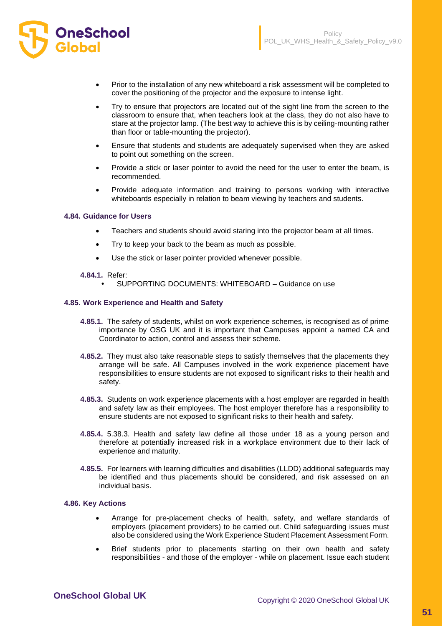

- Prior to the installation of any new whiteboard a risk assessment will be completed to cover the positioning of the projector and the exposure to intense light.
- Try to ensure that projectors are located out of the sight line from the screen to the classroom to ensure that, when teachers look at the class, they do not also have to stare at the projector lamp. (The best way to achieve this is by ceiling-mounting rather than floor or table-mounting the projector).
- Ensure that students and students are adequately supervised when they are asked to point out something on the screen.
- Provide a stick or laser pointer to avoid the need for the user to enter the beam, is recommended.
- Provide adequate information and training to persons working with interactive whiteboards especially in relation to beam viewing by teachers and students.

#### <span id="page-50-0"></span>**4.84. Guidance for Users**

- Teachers and students should avoid staring into the projector beam at all times.
- Try to keep your back to the beam as much as possible.
- Use the stick or laser pointer provided whenever possible.
- **4.84.1.** Refer:
	- SUPPORTING DOCUMENTS: WHITEBOARD Guidance on use

#### <span id="page-50-1"></span>**4.85. Work Experience and Health and Safety**

- **4.85.1.** The safety of students, whilst on work experience schemes, is recognised as of prime importance by OSG UK and it is important that Campuses appoint a named CA and Coordinator to action, control and assess their scheme.
- **4.85.2.** They must also take reasonable steps to satisfy themselves that the placements they arrange will be safe. All Campuses involved in the work experience placement have responsibilities to ensure students are not exposed to significant risks to their health and safety.
- **4.85.3.** Students on work experience placements with a host employer are regarded in health and safety law as their employees. The host employer therefore has a responsibility to ensure students are not exposed to significant risks to their health and safety.
- **4.85.4.** 5.38.3. Health and safety law define all those under 18 as a young person and therefore at potentially increased risk in a workplace environment due to their lack of experience and maturity.
- **4.85.5.** For learners with learning difficulties and disabilities (LLDD) additional safeguards may be identified and thus placements should be considered, and risk assessed on an individual basis.

#### <span id="page-50-2"></span>**4.86. Key Actions**

- Arrange for pre-placement checks of health, safety, and welfare standards of employers (placement providers) to be carried out. Child safeguarding issues must also be considered using the Work Experience Student Placement Assessment Form.
- Brief students prior to placements starting on their own health and safety responsibilities - and those of the employer - while on placement. Issue each student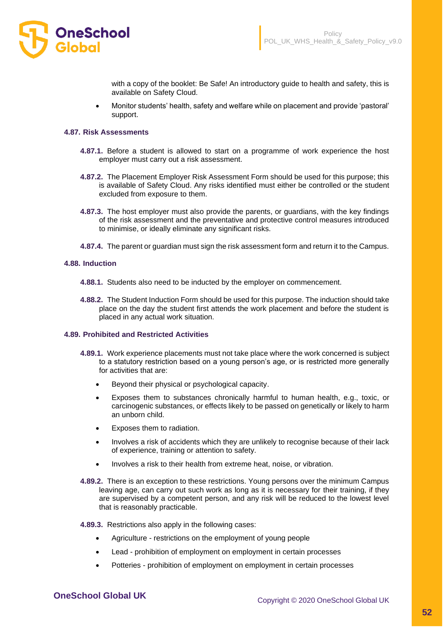

with a copy of the booklet: Be Safe! An introductory guide to health and safety, this is available on Safety Cloud.

• Monitor students' health, safety and welfare while on placement and provide 'pastoral' support.

#### <span id="page-51-0"></span>**4.87. Risk Assessments**

- **4.87.1.** Before a student is allowed to start on a programme of work experience the host employer must carry out a risk assessment.
- **4.87.2.** The Placement Employer Risk Assessment Form should be used for this purpose; this is available of Safety Cloud. Any risks identified must either be controlled or the student excluded from exposure to them.
- **4.87.3.** The host employer must also provide the parents, or guardians, with the key findings of the risk assessment and the preventative and protective control measures introduced to minimise, or ideally eliminate any significant risks.
- **4.87.4.** The parent or guardian must sign the risk assessment form and return it to the Campus.

#### <span id="page-51-1"></span>**4.88. Induction**

- **4.88.1.** Students also need to be inducted by the employer on commencement.
- **4.88.2.** The Student Induction Form should be used for this purpose. The induction should take place on the day the student first attends the work placement and before the student is placed in any actual work situation.

#### <span id="page-51-2"></span>**4.89. Prohibited and Restricted Activities**

- **4.89.1.** Work experience placements must not take place where the work concerned is subject to a statutory restriction based on a young person's age, or is restricted more generally for activities that are:
	- Beyond their physical or psychological capacity.
	- Exposes them to substances chronically harmful to human health, e.g., toxic, or carcinogenic substances, or effects likely to be passed on genetically or likely to harm an unborn child.
	- Exposes them to radiation.
	- Involves a risk of accidents which they are unlikely to recognise because of their lack of experience, training or attention to safety.
	- Involves a risk to their health from extreme heat, noise, or vibration.
- **4.89.2.** There is an exception to these restrictions. Young persons over the minimum Campus leaving age, can carry out such work as long as it is necessary for their training, if they are supervised by a competent person, and any risk will be reduced to the lowest level that is reasonably practicable.
- **4.89.3.** Restrictions also apply in the following cases:
	- Agriculture restrictions on the employment of young people
	- Lead prohibition of employment on employment in certain processes
	- Potteries prohibition of employment on employment in certain processes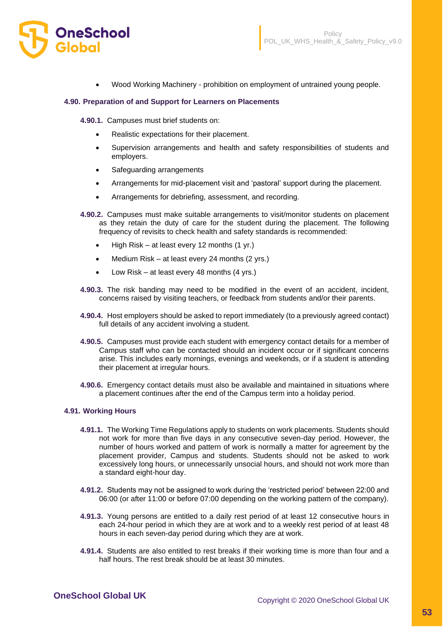

• Wood Working Machinery - prohibition on employment of untrained young people.

#### <span id="page-52-0"></span>**4.90. Preparation of and Support for Learners on Placements**

**4.90.1.** Campuses must brief students on:

- Realistic expectations for their placement.
- Supervision arrangements and health and safety responsibilities of students and employers.
- Safeguarding arrangements
- Arrangements for mid-placement visit and 'pastoral' support during the placement.
- Arrangements for debriefing, assessment, and recording.
- **4.90.2.** Campuses must make suitable arrangements to visit/monitor students on placement as they retain the duty of care for the student during the placement. The following frequency of revisits to check health and safety standards is recommended:
	- High Risk at least every 12 months (1 yr.)
	- Medium Risk at least every 24 months (2 yrs.)
	- Low Risk at least every 48 months (4 yrs.)
- **4.90.3.** The risk banding may need to be modified in the event of an accident, incident, concerns raised by visiting teachers, or feedback from students and/or their parents.
- **4.90.4.** Host employers should be asked to report immediately (to a previously agreed contact) full details of any accident involving a student.
- **4.90.5.** Campuses must provide each student with emergency contact details for a member of Campus staff who can be contacted should an incident occur or if significant concerns arise. This includes early mornings, evenings and weekends, or if a student is attending their placement at irregular hours.
- **4.90.6.** Emergency contact details must also be available and maintained in situations where a placement continues after the end of the Campus term into a holiday period.

#### <span id="page-52-1"></span>**4.91. Working Hours**

- **4.91.1.** The Working Time Regulations apply to students on work placements. Students should not work for more than five days in any consecutive seven-day period. However, the number of hours worked and pattern of work is normally a matter for agreement by the placement provider, Campus and students. Students should not be asked to work excessively long hours, or unnecessarily unsocial hours, and should not work more than a standard eight-hour day.
- **4.91.2.** Students may not be assigned to work during the 'restricted period' between 22:00 and 06:00 (or after 11:00 or before 07:00 depending on the working pattern of the company).
- **4.91.3.** Young persons are entitled to a daily rest period of at least 12 consecutive hours in each 24-hour period in which they are at work and to a weekly rest period of at least 48 hours in each seven-day period during which they are at work.
- **4.91.4.** Students are also entitled to rest breaks if their working time is more than four and a half hours. The rest break should be at least 30 minutes.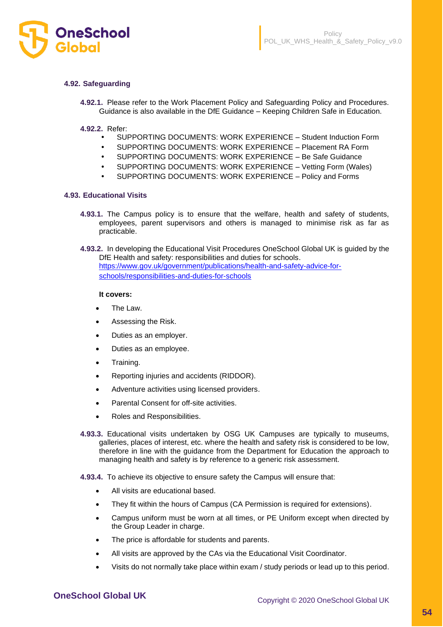

#### <span id="page-53-0"></span>**4.92. Safeguarding**

**4.92.1.** Please refer to the Work Placement Policy and Safeguarding Policy and Procedures. Guidance is also available in the DfE Guidance – Keeping Children Safe in Education.

#### **4.92.2.** Refer:

- SUPPORTING DOCUMENTS: WORK EXPERIENCE Student Induction Form
- SUPPORTING DOCUMENTS: WORK EXPERIENCE Placement RA Form
- SUPPORTING DOCUMENTS: WORK EXPERIENCE Be Safe Guidance
- SUPPORTING DOCUMENTS: WORK EXPERIENCE Vetting Form (Wales)
- SUPPORTING DOCUMENTS: WORK EXPERIENCE Policy and Forms

#### <span id="page-53-1"></span>**4.93. Educational Visits**

- **4.93.1.** The Campus policy is to ensure that the welfare, health and safety of students, employees, parent supervisors and others is managed to minimise risk as far as practicable.
- **4.93.2.** In developing the Educational Visit Procedures OneSchool Global UK is guided by the DfE Health and safety: responsibilities and duties for schools. [https://www.gov.uk/government/publications/health-and-safety-advice-for](https://www.gov.uk/government/publications/health-and-safety-advice-for-schools/responsibilities-and-duties-for-schools)[schools/responsibilities-and-duties-for-schools](https://www.gov.uk/government/publications/health-and-safety-advice-for-schools/responsibilities-and-duties-for-schools)

#### **It covers:**

- The Law.
- Assessing the Risk.
- Duties as an employer.
- Duties as an employee.
- Training.
- Reporting injuries and accidents (RIDDOR).
- Adventure activities using licensed providers.
- Parental Consent for off-site activities.
- Roles and Responsibilities.
- **4.93.3.** Educational visits undertaken by OSG UK Campuses are typically to museums, galleries, places of interest, etc. where the health and safety risk is considered to be low, therefore in line with the guidance from the Department for Education the approach to managing health and safety is by reference to a generic risk assessment.
- **4.93.4.** To achieve its objective to ensure safety the Campus will ensure that:
	- All visits are educational based.
	- They fit within the hours of Campus (CA Permission is required for extensions).
	- Campus uniform must be worn at all times, or PE Uniform except when directed by the Group Leader in charge.
	- The price is affordable for students and parents.
	- All visits are approved by the CAs via the Educational Visit Coordinator.
	- Visits do not normally take place within exam / study periods or lead up to this period.

#### **OneSchool Global UK**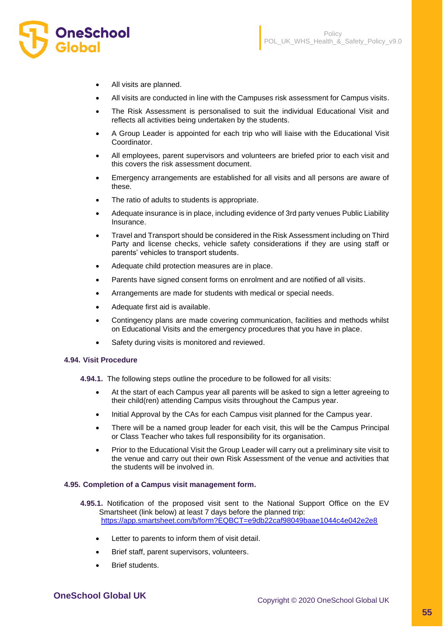

- All visits are planned.
- All visits are conducted in line with the Campuses risk assessment for Campus visits.
- The Risk Assessment is personalised to suit the individual Educational Visit and reflects all activities being undertaken by the students.
- A Group Leader is appointed for each trip who will liaise with the Educational Visit Coordinator.
- All employees, parent supervisors and volunteers are briefed prior to each visit and this covers the risk assessment document.
- Emergency arrangements are established for all visits and all persons are aware of these.
- The ratio of adults to students is appropriate.
- Adequate insurance is in place, including evidence of 3rd party venues Public Liability Insurance.
- Travel and Transport should be considered in the Risk Assessment including on Third Party and license checks, vehicle safety considerations if they are using staff or parents' vehicles to transport students.
- Adequate child protection measures are in place.
- Parents have signed consent forms on enrolment and are notified of all visits.
- Arrangements are made for students with medical or special needs.
- Adequate first aid is available.
- Contingency plans are made covering communication, facilities and methods whilst on Educational Visits and the emergency procedures that you have in place.
- Safety during visits is monitored and reviewed.

#### <span id="page-54-0"></span>**4.94. Visit Procedure**

**4.94.1.** The following steps outline the procedure to be followed for all visits:

- At the start of each Campus year all parents will be asked to sign a letter agreeing to their child(ren) attending Campus visits throughout the Campus year.
- Initial Approval by the CAs for each Campus visit planned for the Campus year.
- There will be a named group leader for each visit, this will be the Campus Principal or Class Teacher who takes full responsibility for its organisation.
- Prior to the Educational Visit the Group Leader will carry out a preliminary site visit to the venue and carry out their own Risk Assessment of the venue and activities that the students will be involved in.

#### <span id="page-54-1"></span>**4.95. Completion of a Campus visit management form.**

- **4.95.1.** Notification of the proposed visit sent to the National Support Office on the EV Smartsheet (link below) at least 7 days before the planned trip: <https://app.smartsheet.com/b/form?EQBCT=e9db22caf98049baae1044c4e042e2e8>
	- Letter to parents to inform them of visit detail.
	- Brief staff, parent supervisors, volunteers.
	- **Brief students.**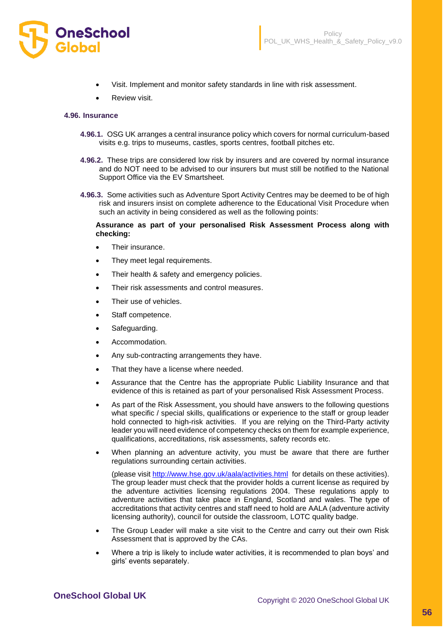

- Visit. Implement and monitor safety standards in line with risk assessment.
- Review visit.

#### <span id="page-55-0"></span>**4.96. Insurance**

- **4.96.1.** OSG UK arranges a central insurance policy which covers for normal curriculum-based visits e.g. trips to museums, castles, sports centres, football pitches etc.
- **4.96.2.** These trips are considered low risk by insurers and are covered by normal insurance and do NOT need to be advised to our insurers but must still be notified to the National Support Office via the EV Smartsheet.
- **4.96.3.** Some activities such as Adventure Sport Activity Centres may be deemed to be of high risk and insurers insist on complete adherence to the Educational Visit Procedure when such an activity in being considered as well as the following points:

#### **Assurance as part of your personalised Risk Assessment Process along with checking:**

- Their insurance.
- They meet legal requirements.
- Their health & safety and emergency policies.
- Their risk assessments and control measures.
- Their use of vehicles.
- Staff competence.
- Safeguarding.
- Accommodation.
- Any sub-contracting arrangements they have.
- That they have a license where needed.
- Assurance that the Centre has the appropriate Public Liability Insurance and that evidence of this is retained as part of your personalised Risk Assessment Process.
- As part of the Risk Assessment, you should have answers to the following questions what specific / special skills, qualifications or experience to the staff or group leader hold connected to high-risk activities. If you are relying on the Third-Party activity leader you will need evidence of competency checks on them for example experience, qualifications, accreditations, risk assessments, safety records etc.
- When planning an adventure activity, you must be aware that there are further regulations surrounding certain activities.

(please visit [http://www.hse.gov.uk/aala/activities.html](http://www.hse.gov.uk/aala/activities.htmL) for details on these activities). The group leader must check that the provider holds a current license as required by the adventure activities licensing regulations 2004. These regulations apply to adventure activities that take place in England, Scotland and wales. The type of accreditations that activity centres and staff need to hold are AALA (adventure activity licensing authority), council for outside the classroom, LOTC quality badge.

- The Group Leader will make a site visit to the Centre and carry out their own Risk Assessment that is approved by the CAs.
- Where a trip is likely to include water activities, it is recommended to plan boys' and girls' events separately.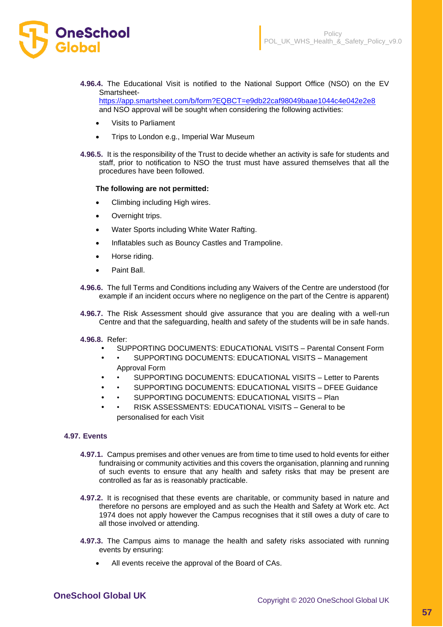- OneSchool
	- **4.96.4.** The Educational Visit is notified to the National Support Office (NSO) on the EV Smartsheet<https://app.smartsheet.com/b/form?EQBCT=e9db22caf98049baae1044c4e042e2e8>

and NSO approval will be sought when considering the following activities:

- Visits to Parliament
- Trips to London e.g., Imperial War Museum
- **4.96.5.** It is the responsibility of the Trust to decide whether an activity is safe for students and staff, prior to notification to NSO the trust must have assured themselves that all the procedures have been followed.

#### **The following are not permitted:**

- Climbing including High wires.
- Overnight trips.
- Water Sports including White Water Rafting.
- Inflatables such as Bouncy Castles and Trampoline.
- Horse riding.
- Paint Ball.
- **4.96.6.** The full Terms and Conditions including any Waivers of the Centre are understood (for example if an incident occurs where no negligence on the part of the Centre is apparent)
- **4.96.7.** The Risk Assessment should give assurance that you are dealing with a well-run Centre and that the safeguarding, health and safety of the students will be in safe hands.

**4.96.8.** Refer:

- SUPPORTING DOCUMENTS: EDUCATIONAL VISITS Parental Consent Form
- SUPPORTING DOCUMENTS: EDUCATIONAL VISITS Management Approval Form
- SUPPORTING DOCUMENTS: EDUCATIONAL VISITS Letter to Parents
- SUPPORTING DOCUMENTS: EDUCATIONAL VISITS DFEE Guidance
- SUPPORTING DOCUMENTS: EDUCATIONAL VISITS Plan
- RISK ASSESSMENTS: EDUCATIONAL VISITS General to be personalised for each Visit

#### <span id="page-56-0"></span>**4.97. Events**

- **4.97.1.** Campus premises and other venues are from time to time used to hold events for either fundraising or community activities and this covers the organisation, planning and running of such events to ensure that any health and safety risks that may be present are controlled as far as is reasonably practicable.
- **4.97.2.** It is recognised that these events are charitable, or community based in nature and therefore no persons are employed and as such the Health and Safety at Work etc. Act 1974 does not apply however the Campus recognises that it still owes a duty of care to all those involved or attending.
- **4.97.3.** The Campus aims to manage the health and safety risks associated with running events by ensuring:
	- All events receive the approval of the Board of CAs.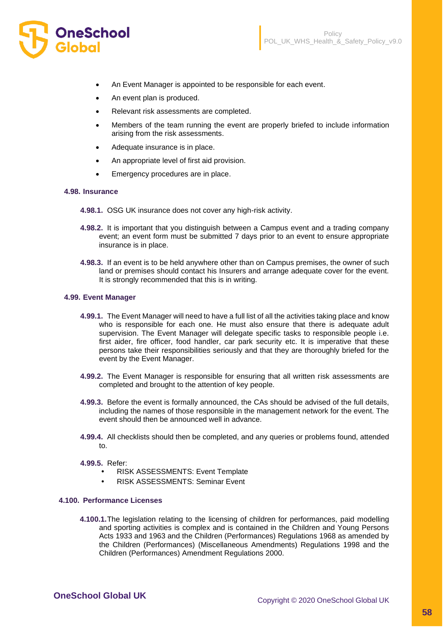

- An Event Manager is appointed to be responsible for each event.
- An event plan is produced.
- Relevant risk assessments are completed.
- Members of the team running the event are properly briefed to include information arising from the risk assessments.
- Adequate insurance is in place.
- An appropriate level of first aid provision.
- Emergency procedures are in place.

#### <span id="page-57-0"></span>**4.98. Insurance**

**OneSchool** 

- **4.98.1.** OSG UK insurance does not cover any high-risk activity.
- **4.98.2.** It is important that you distinguish between a Campus event and a trading company event; an event form must be submitted 7 days prior to an event to ensure appropriate insurance is in place.
- **4.98.3.** If an event is to be held anywhere other than on Campus premises, the owner of such land or premises should contact his Insurers and arrange adequate cover for the event. It is strongly recommended that this is in writing.

#### <span id="page-57-1"></span>**4.99. Event Manager**

- **4.99.1.** The Event Manager will need to have a full list of all the activities taking place and know who is responsible for each one. He must also ensure that there is adequate adult supervision. The Event Manager will delegate specific tasks to responsible people i.e. first aider, fire officer, food handler, car park security etc. It is imperative that these persons take their responsibilities seriously and that they are thoroughly briefed for the event by the Event Manager.
- **4.99.2.** The Event Manager is responsible for ensuring that all written risk assessments are completed and brought to the attention of key people.
- **4.99.3.** Before the event is formally announced, the CAs should be advised of the full details, including the names of those responsible in the management network for the event. The event should then be announced well in advance.
- **4.99.4.** All checklists should then be completed, and any queries or problems found, attended to.
- **4.99.5.** Refer:
	- RISK ASSESSMENTS: Event Template
	- RISK ASSESSMENTS: Seminar Event

#### <span id="page-57-2"></span>**4.100. Performance Licenses**

**4.100.1.**The legislation relating to the licensing of children for performances, paid modelling and sporting activities is complex and is contained in the Children and Young Persons Acts 1933 and 1963 and the Children (Performances) Regulations 1968 as amended by the Children (Performances) (Miscellaneous Amendments) Regulations 1998 and the Children (Performances) Amendment Regulations 2000.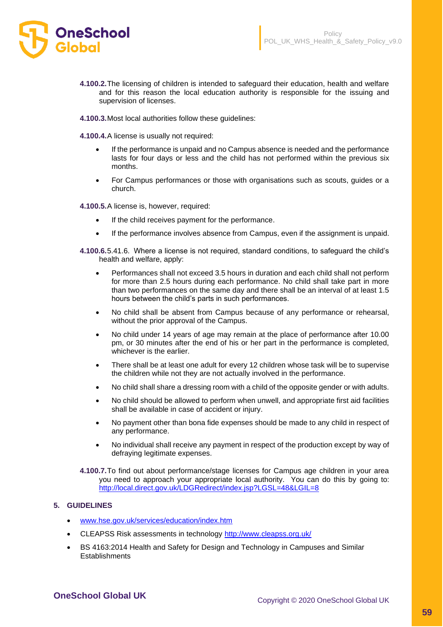

- **4.100.2.**The licensing of children is intended to safeguard their education, health and welfare and for this reason the local education authority is responsible for the issuing and supervision of licenses.
- **4.100.3.**Most local authorities follow these guidelines:
- **4.100.4.**A license is usually not required:
	- If the performance is unpaid and no Campus absence is needed and the performance lasts for four days or less and the child has not performed within the previous six months.
	- For Campus performances or those with organisations such as scouts, guides or a church.
- **4.100.5.**A license is, however, required:
	- If the child receives payment for the performance.
	- If the performance involves absence from Campus, even if the assignment is unpaid.
- **4.100.6.**5.41.6. Where a license is not required, standard conditions, to safeguard the child's health and welfare, apply:
	- Performances shall not exceed 3.5 hours in duration and each child shall not perform for more than 2.5 hours during each performance. No child shall take part in more than two performances on the same day and there shall be an interval of at least 1.5 hours between the child's parts in such performances.
	- No child shall be absent from Campus because of any performance or rehearsal, without the prior approval of the Campus.
	- No child under 14 years of age may remain at the place of performance after 10.00 pm, or 30 minutes after the end of his or her part in the performance is completed, whichever is the earlier.
	- There shall be at least one adult for every 12 children whose task will be to supervise the children while not they are not actually involved in the performance.
	- No child shall share a dressing room with a child of the opposite gender or with adults.
	- No child should be allowed to perform when unwell, and appropriate first aid facilities shall be available in case of accident or injury.
	- No payment other than bona fide expenses should be made to any child in respect of any performance.
	- No individual shall receive any payment in respect of the production except by way of defraying legitimate expenses.

**4.100.7.**To find out about performance/stage licenses for Campus age children in your area you need to approach your appropriate local authority. You can do this by going to: <http://local.direct.gov.uk/LDGRedirect/index.jsp?LGSL=48&LGIL=8>

#### <span id="page-58-0"></span>**5. GUIDELINES**

- [www.hse.gov.uk/services/education/index.htm](http://www.hse.gov.uk/services/education/index.htm)
- CLEAPSS Risk assessments in technology<http://www.cleapss.org.uk/>
- BS 4163:2014 Health and Safety for Design and Technology in Campuses and Similar **Establishments**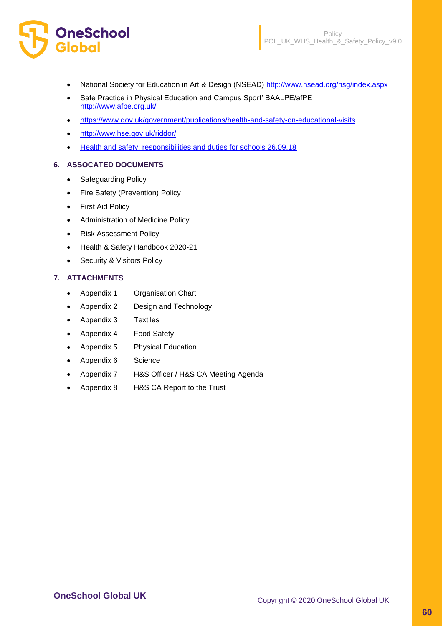

- National Society for Education in Art & Design (NSEAD)<http://www.nsead.org/hsg/index.aspx>
- Safe Practice in Physical Education and Campus Sport' BAALPE/afPE <http://www.afpe.org.uk/>
- <https://www.gov.uk/government/publications/health-and-safety-on-educational-visits>
- <http://www.hse.gov.uk/riddor/>
- [Health and safety: responsibilities and duties for schools 26.09.18](https://www.gov.uk/government/publications/health-and-safety-advice-for-schools/responsibilities-and-duties-for-schools)

### <span id="page-59-0"></span>**6. ASSOCATED DOCUMENTS**

- Safeguarding Policy
- Fire Safety (Prevention) Policy
- First Aid Policy

**OneSchool** 

lobal

- Administration of Medicine Policy
- Risk Assessment Policy
- Health & Safety Handbook 2020-21
- Security & Visitors Policy

### <span id="page-59-1"></span>**7. ATTACHMENTS**

- Appendix 1 Organisation Chart
- Appendix 2 Design and Technology
- Appendix 3 Textiles
- Appendix 4 Food Safety
- Appendix 5 Physical Education
- Appendix 6 Science
- Appendix 7 H&S Officer / H&S CA Meeting Agenda
- Appendix 8 H&S CA Report to the Trust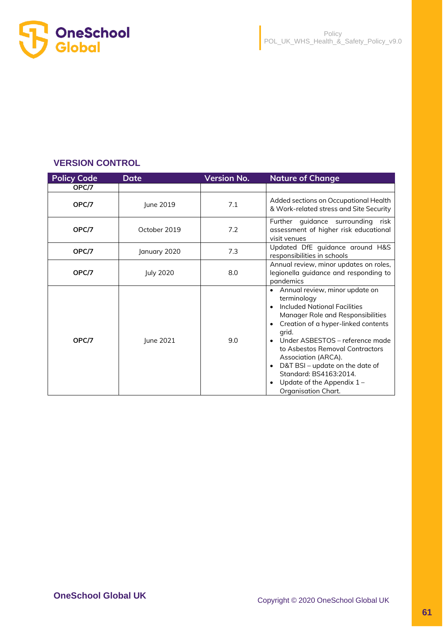

# **VERSION CONTROL**

| <b>Policy Code</b> | <b>Date</b>      | <b>Version No.</b> | <b>Nature of Change</b>                                                                                                                                                                                                                                                                                                                                                                      |
|--------------------|------------------|--------------------|----------------------------------------------------------------------------------------------------------------------------------------------------------------------------------------------------------------------------------------------------------------------------------------------------------------------------------------------------------------------------------------------|
| OPC/7              |                  |                    |                                                                                                                                                                                                                                                                                                                                                                                              |
| OPC/7              | June 2019        | 7.1                | Added sections on Occupational Health<br>& Work-related stress and Site Security                                                                                                                                                                                                                                                                                                             |
| OPC/7              | October 2019     | 7.2                | Further guidance surrounding risk<br>assessment of higher risk educational<br>visit venues                                                                                                                                                                                                                                                                                                   |
| OPC/7              | January 2020     | 7.3                | Updated DfE guidance around H&S<br>responsibilities in schools                                                                                                                                                                                                                                                                                                                               |
| OPC/7              | <b>July 2020</b> | 8.0                | Annual review, minor updates on roles,<br>legionella guidance and responding to<br>pandemics                                                                                                                                                                                                                                                                                                 |
| OPC/7              | June 2021        | 9.0                | • Annual review, minor update on<br>terminology<br><b>Included National Facilities</b><br>Manager Role and Responsibilities<br>Creation of a hyper-linked contents<br>grid.<br>Under ASBESTOS - reference made<br>to Asbestos Removal Contractors<br>Association (ARCA).<br>D&T BSI - update on the date of<br>Standard: BS4163:2014.<br>Update of the Appendix $1 -$<br>Organisation Chart. |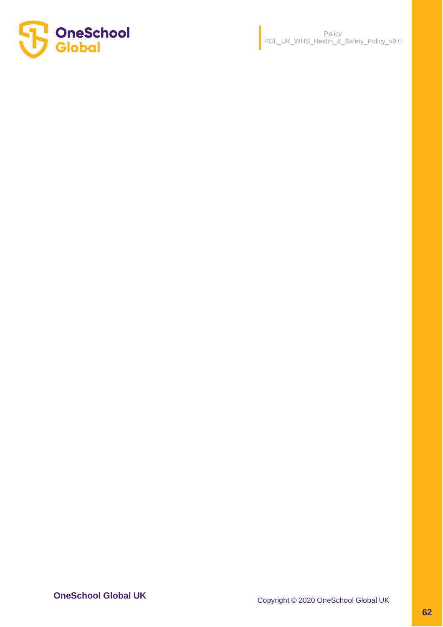

**OneSchool Global UK**